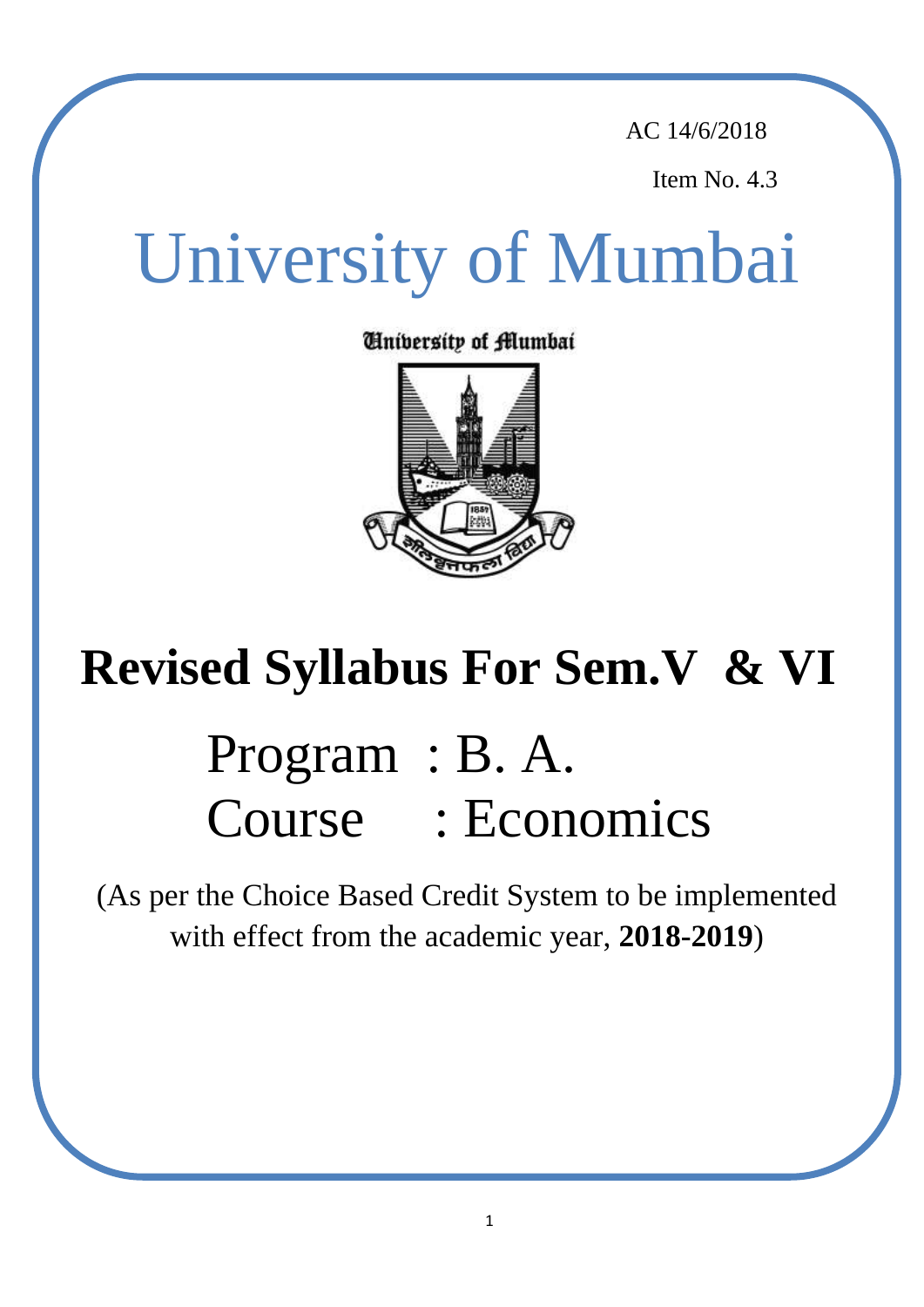AC 14/6/2018

Item No. 4.3

## economics. The Board of Studies in Economics has revised the syllabi of papers at the TYBA which will be made effective from the Academic Year 2018-19. In this revision, some of the existing optional papers have been replaced by new papers. A broad University of Mumbai

Cinibersity of <del>f</del>ilumbai



# $T_{\rm cool}$  Cyllahus Fan Cam V  $\rho$ . VI Revised Syllabus For Sem.V & VI

# $P$ rooram  $\cdot$  R  $\alpha$ Program : B. A. to have a maximum page in the project. Course : Economics

(As per the Choice Based Credit System to be implemented with effect from the academic year, **2018-2019**)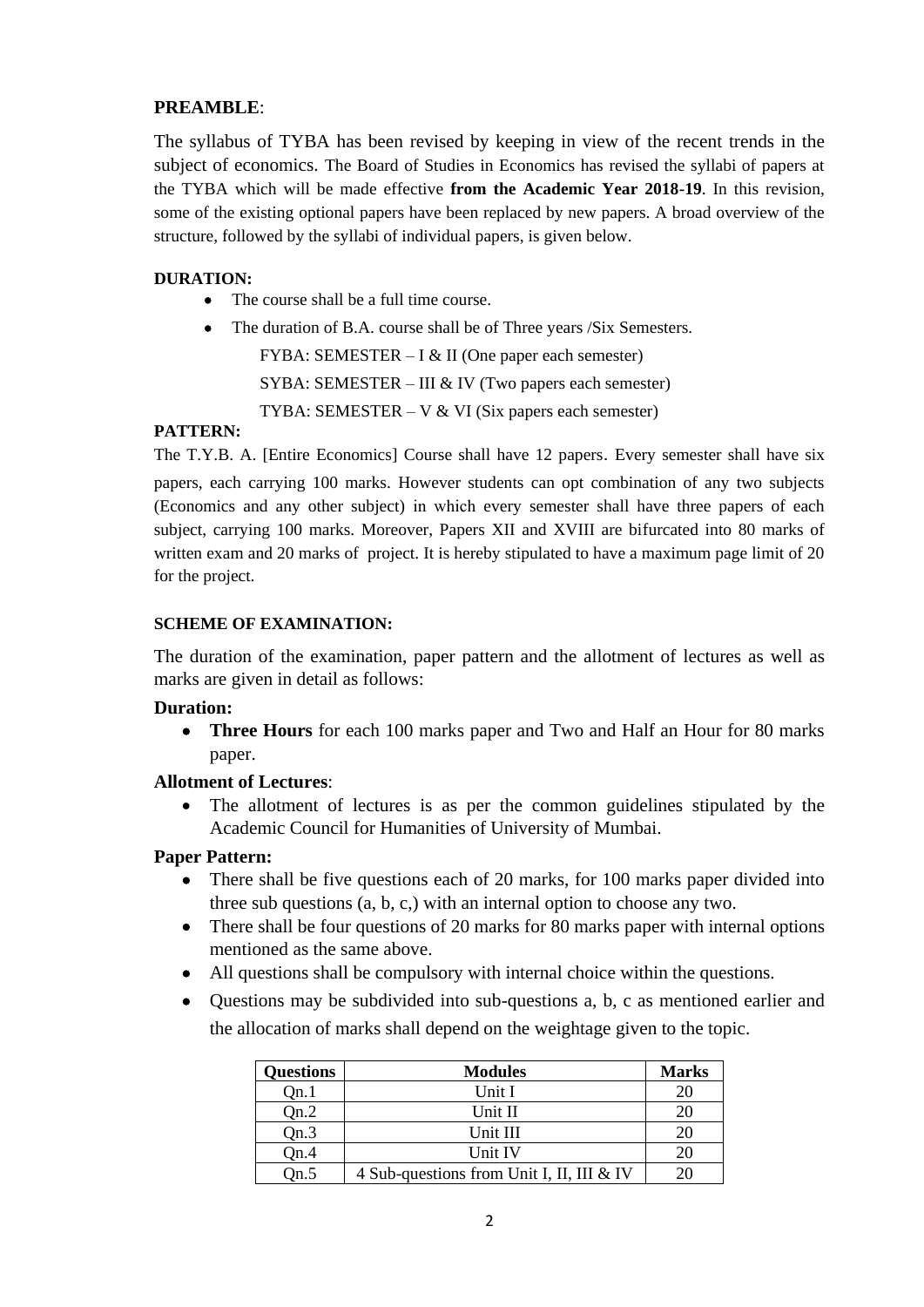# **PREAMBLE**:

The syllabus of TYBA has been revised by keeping in view of the recent trends in the subject of economics. The Board of Studies in Economics has revised the syllabi of papers at the TYBA which will be made effective **from the Academic Year 2018-19**. In this revision, some of the existing optional papers have been replaced by new papers. A broad overview of the structure, followed by the syllabi of individual papers, is given below.

### **DURATION:**

- The course shall be a full time course.
- The duration of B.A. course shall be of Three years /Six Semesters.

FYBA: SEMESTER – I & II (One paper each semester) SYBA: SEMESTER – III & IV (Two papers each semester) TYBA: SEMESTER – V  $&$  VI (Six papers each semester)

### **PATTERN:**

The T.Y.B. A. [Entire Economics] Course shall have 12 papers. Every semester shall have six papers, each carrying 100 marks. However students can opt combination of any two subjects (Economics and any other subject) in which every semester shall have three papers of each subject, carrying 100 marks. Moreover, Papers XII and XVIII are bifurcated into 80 marks of written exam and 20 marks of project. It is hereby stipulated to have a maximum page limit of 20 for the project.

### **SCHEME OF EXAMINATION:**

The duration of the examination, paper pattern and the allotment of lectures as well as marks are given in detail as follows:

### **Duration:**

 **Three Hours** for each 100 marks paper and Two and Half an Hour for 80 marks paper.

#### **Allotment of Lectures**:

 The allotment of lectures is as per the common guidelines stipulated by the Academic Council for Humanities of University of Mumbai.

### **Paper Pattern:**

- There shall be five questions each of 20 marks, for 100 marks paper divided into three sub questions (a, b, c,) with an internal option to choose any two.
- There shall be four questions of 20 marks for 80 marks paper with internal options mentioned as the same above.
- All questions shall be compulsory with internal choice within the questions.
- Questions may be subdivided into sub-questions a, b, c as mentioned earlier and the allocation of marks shall depend on the weightage given to the topic.

| <b>Questions</b> | <b>Modules</b>                            | <b>Marks</b> |
|------------------|-------------------------------------------|--------------|
| Qn.1             | Unit I                                    | 20           |
| Qn.2             | Unit II                                   | 20           |
| Qn.3             | Unit III                                  | 20           |
| On.4             | Unit IV                                   | 20           |
| $_{\rm 0n.5}$    | 4 Sub-questions from Unit I, II, III & IV | 20           |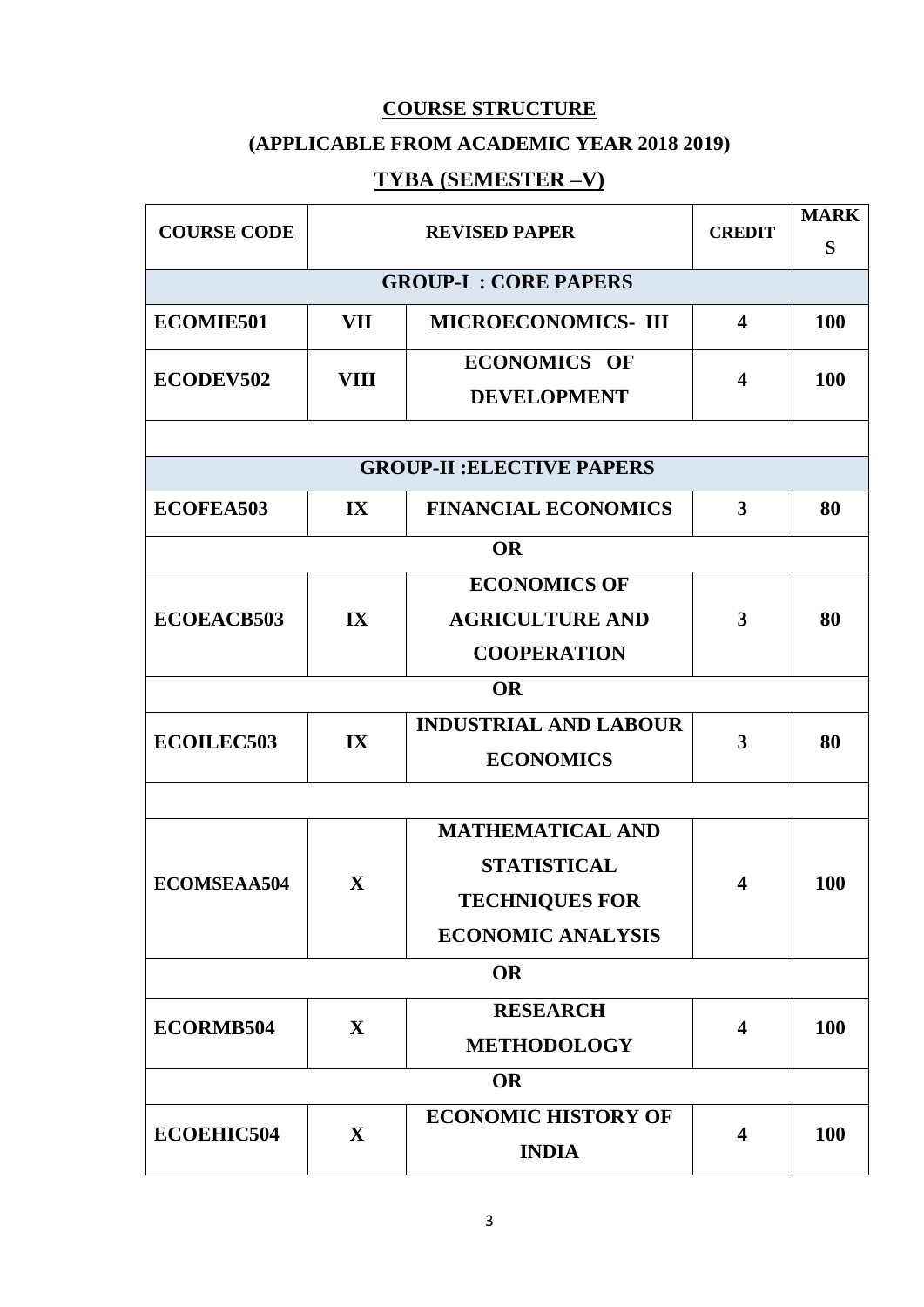# **COURSE STRUCTURE**

# **(APPLICABLE FROM ACADEMIC YEAR 2018 2019)**

# **TYBA (SEMESTER –V)**

| <b>COURSE CODE</b> |                         | <b>REVISED PAPER</b>                      | <b>CREDIT</b>           | <b>MARK</b><br>S |
|--------------------|-------------------------|-------------------------------------------|-------------------------|------------------|
|                    |                         | <b>GROUP-I: CORE PAPERS</b>               |                         |                  |
| <b>ECOMIE501</b>   | VII                     | <b>MICROECONOMICS-III</b>                 | $\overline{\mathbf{4}}$ | <b>100</b>       |
| ECODEV502          | <b>VIII</b>             | <b>ECONOMICS OF</b><br><b>DEVELOPMENT</b> | 4                       | 100              |
|                    |                         |                                           |                         |                  |
|                    |                         | <b>GROUP-II: ELECTIVE PAPERS</b>          |                         |                  |
| <b>ECOFEA503</b>   | $\mathbf{IX}$           | <b>FINANCIAL ECONOMICS</b>                | 3                       | 80               |
|                    |                         | <b>OR</b>                                 |                         |                  |
|                    |                         | <b>ECONOMICS OF</b>                       |                         |                  |
| <b>ECOEACB503</b>  | $\mathbf{I} \mathbf{X}$ | <b>AGRICULTURE AND</b>                    | 3                       | 80               |
|                    |                         | <b>COOPERATION</b>                        |                         |                  |
|                    |                         | <b>OR</b>                                 |                         |                  |
| <b>ECOILEC503</b>  | IX                      | <b>INDUSTRIAL AND LABOUR</b>              | 3                       | 80               |
|                    |                         | <b>ECONOMICS</b>                          |                         |                  |
|                    |                         |                                           |                         |                  |
|                    |                         | <b>MATHEMATICAL AND</b>                   |                         |                  |
| <b>ECOMSEAA504</b> | $\mathbf{X}$            | <b>STATISTICAL</b>                        | 4                       | <b>100</b>       |
|                    |                         | <b>TECHNIQUES FOR</b>                     |                         |                  |
|                    |                         | <b>ECONOMIC ANALYSIS</b>                  |                         |                  |
|                    |                         | <b>OR</b>                                 |                         |                  |
| ECORMB504          | $\mathbf X$             | <b>RESEARCH</b>                           | $\overline{\mathbf{4}}$ | <b>100</b>       |
|                    |                         | <b>METHODOLOGY</b>                        |                         |                  |
|                    |                         | <b>OR</b>                                 |                         |                  |
| <b>ECOEHIC504</b>  | $\mathbf{X}$            | <b>ECONOMIC HISTORY OF</b>                | $\overline{\mathbf{4}}$ | 100              |
|                    |                         | <b>INDIA</b>                              |                         |                  |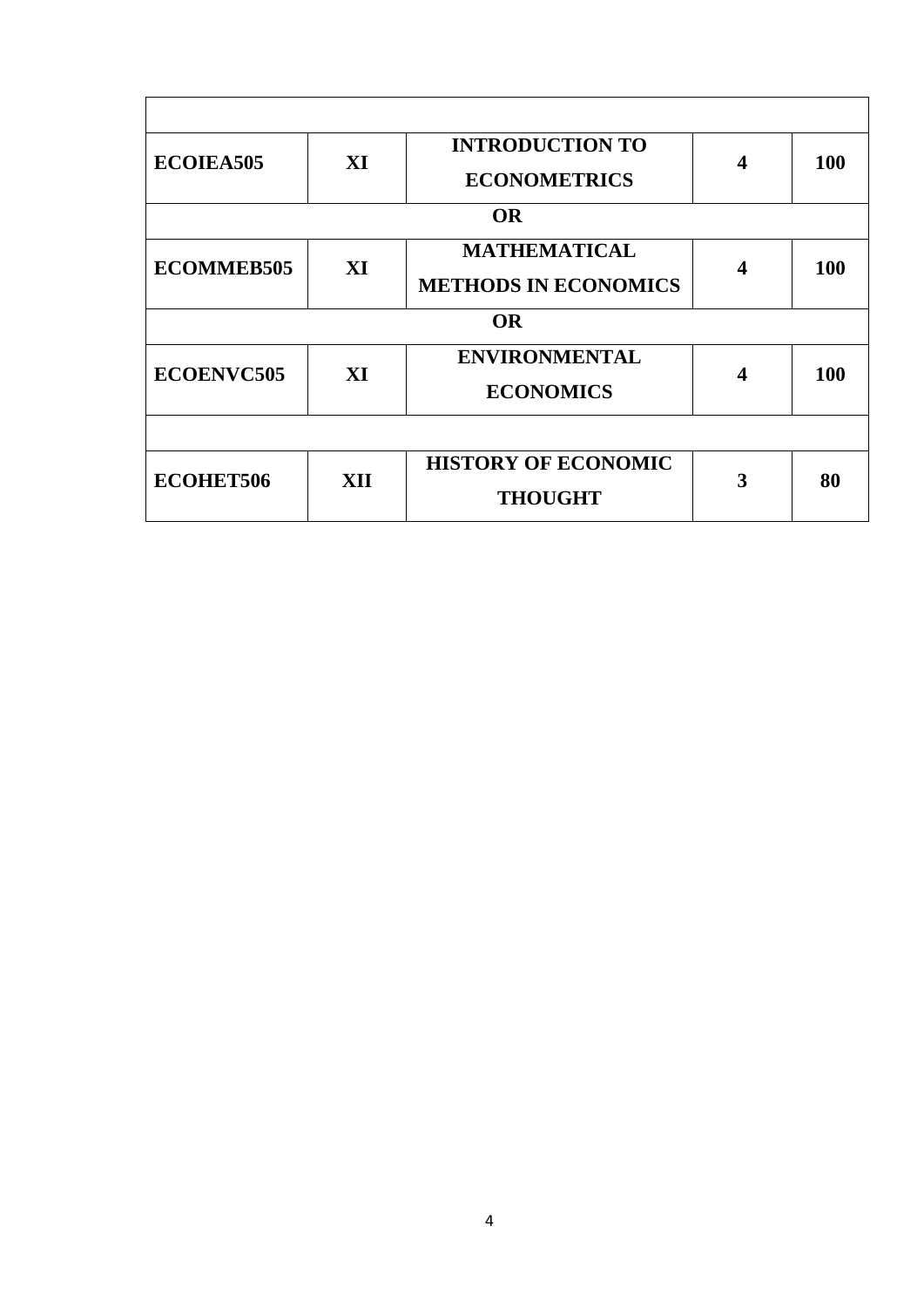| <b>ECOIEA505</b>  | XI  | <b>INTRODUCTION TO</b><br><b>ECONOMETRICS</b> | ◢ | <b>100</b> |
|-------------------|-----|-----------------------------------------------|---|------------|
|                   |     |                                               |   |            |
|                   |     | <b>OR</b>                                     |   |            |
| <b>ECOMMEB505</b> | XI  | <b>MATHEMATICAL</b>                           | 4 | <b>100</b> |
|                   |     | <b>METHODS IN ECONOMICS</b>                   |   |            |
|                   |     | <b>OR</b>                                     |   |            |
| <b>ECOENVC505</b> | XI  | <b>ENVIRONMENTAL</b>                          | 4 | <b>100</b> |
|                   |     | <b>ECONOMICS</b>                              |   |            |
|                   |     |                                               |   |            |
| <b>ECOHET506</b>  | XII | <b>HISTORY OF ECONOMIC</b>                    | 3 | 80         |
|                   |     | <b>THOUGHT</b>                                |   |            |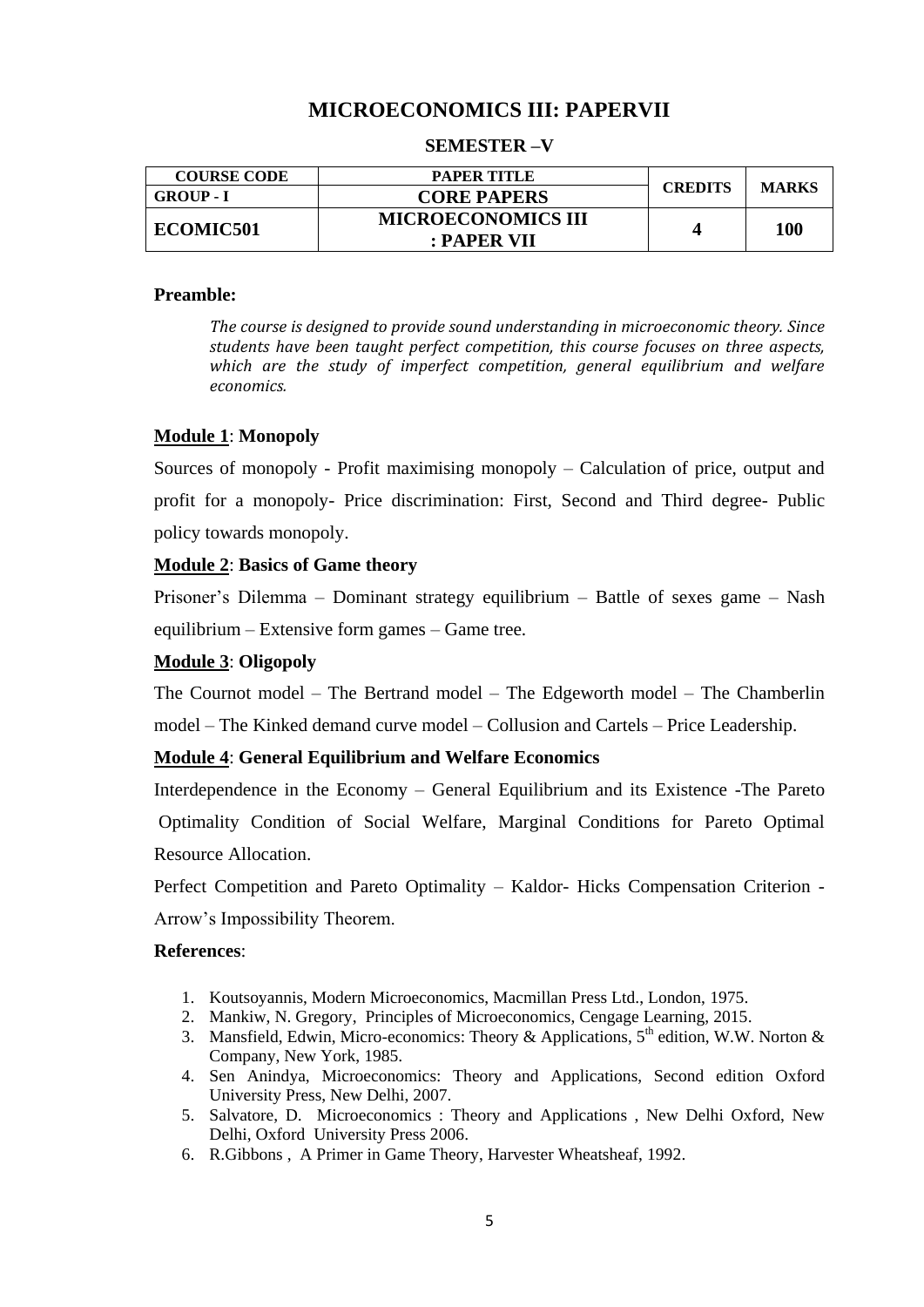# **MICROECONOMICS III: PAPERVII**

#### **SEMESTER –V**

| <b>COURSE CODE</b> | <b>PAPER TITLE</b>        |                | <b>MARKS</b> |
|--------------------|---------------------------|----------------|--------------|
| <b>GROUP - I</b>   | <b>CORE PAPERS</b>        | <b>CREDITS</b> |              |
|                    | <b>MICROECONOMICS III</b> |                |              |
| ECOMIC501          | : PAPER VII               |                | 100          |

#### **Preamble:**

*The course is designed to provide sound understanding in microeconomic theory. Since students have been taught perfect competition, this course focuses on three aspects, which are the study of imperfect competition, general equilibrium and welfare economics.*

#### **Module 1**: **Monopoly**

Sources of monopoly - Profit maximising monopoly – Calculation of price, output and profit for a monopoly- Price discrimination: First, Second and Third degree- Public policy towards monopoly.

### **Module 2**: **Basics of Game theory**

Prisoner"s Dilemma – Dominant strategy equilibrium – Battle of sexes game – Nash equilibrium – Extensive form games – Game tree.

### **Module 3**: **Oligopoly**

The Cournot model – The Bertrand model – The Edgeworth model – The Chamberlin model – The Kinked demand curve model – Collusion and Cartels – Price Leadership.

#### **Module 4**: **General Equilibrium and Welfare Economics**

Interdependence in the Economy – General Equilibrium and its Existence -The Pareto Optimality Condition of Social Welfare, Marginal Conditions for Pareto Optimal Resource Allocation.

Perfect Competition and Pareto Optimality – Kaldor- Hicks Compensation Criterion - Arrow"s Impossibility Theorem.

- 1. Koutsoyannis, Modern Microeconomics, Macmillan Press Ltd., London, 1975.
- 2. Mankiw, N. Gregory, Principles of Microeconomics, Cengage Learning, 2015.
- 3. Mansfield, Edwin, Micro-economics: Theory & Applications,  $5<sup>th</sup>$  edition, W.W. Norton & Company, New York, 1985.
- 4. Sen Anindya, Microeconomics: Theory and Applications, Second edition Oxford University Press, New Delhi, 2007.
- 5. Salvatore, D. Microeconomics : Theory and Applications , New Delhi Oxford, New Delhi, Oxford University Press 2006.
- 6. R.Gibbons , A Primer in Game Theory, Harvester Wheatsheaf, 1992.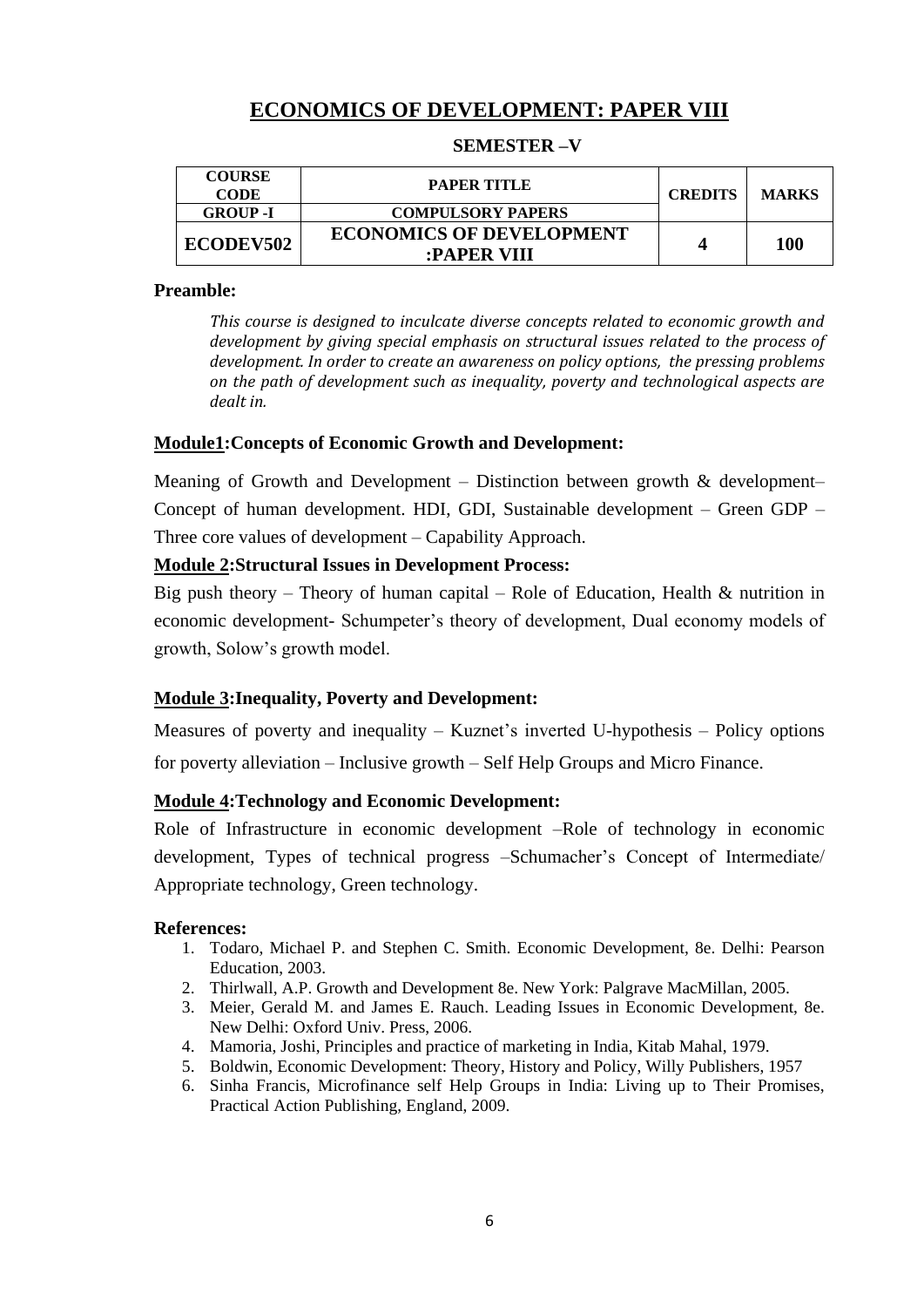# **ECONOMICS OF DEVELOPMENT: PAPER VIII**

### **SEMESTER –V**

| <b>COURSE</b><br><b>CODE</b> | PAPER TITLE                                    | <b>CREDITS</b> | <b>MARKS</b> |
|------------------------------|------------------------------------------------|----------------|--------------|
| <b>GROUP</b> -I              | <b>COMPULSORY PAPERS</b>                       |                |              |
| <b>ECODEV502</b>             | <b>ECONOMICS OF DEVELOPMENT</b><br>:PAPER VIII |                | <b>100</b>   |

### **Preamble:**

*This course is designed to inculcate diverse concepts related to economic growth and development by giving special emphasis on structural issues related to the process of development. In order to create an awareness on policy options, the pressing problems on the path of development such as inequality, poverty and technological aspects are dealt in.*

### **Module1:Concepts of Economic Growth and Development:**

Meaning of Growth and Development – Distinction between growth & development– Concept of human development. HDI, GDI, Sustainable development – Green GDP – Three core values of development – Capability Approach.

### **Module 2:Structural Issues in Development Process:**

Big push theory – Theory of human capital – Role of Education, Health  $\&$  nutrition in economic development- Schumpeter's theory of development, Dual economy models of growth, Solow"s growth model.

### **Module 3:Inequality, Poverty and Development:**

Measures of poverty and inequality – Kuznet's inverted U-hypothesis – Policy options for poverty alleviation – Inclusive growth – Self Help Groups and Micro Finance.

#### **Module 4:Technology and Economic Development:**

Role of Infrastructure in economic development –Role of technology in economic development, Types of technical progress –Schumacher"s Concept of Intermediate/ Appropriate technology, Green technology.

- 1. Todaro, Michael P. and Stephen C. Smith. Economic Development, 8e. Delhi: Pearson Education, 2003.
- 2. Thirlwall, A.P. Growth and Development 8e. New York: Palgrave MacMillan, 2005.
- 3. Meier, Gerald M. and James E. Rauch. Leading Issues in Economic Development, 8e. New Delhi: Oxford Univ. Press, 2006.
- 4. Mamoria, Joshi, Principles and practice of marketing in India, Kitab Mahal, 1979.
- 5. Boldwin, Economic Development: Theory, History and Policy, Willy Publishers, 1957
- 6. Sinha Francis, Microfinance self Help Groups in India: Living up to Their Promises, Practical Action Publishing, England, 2009.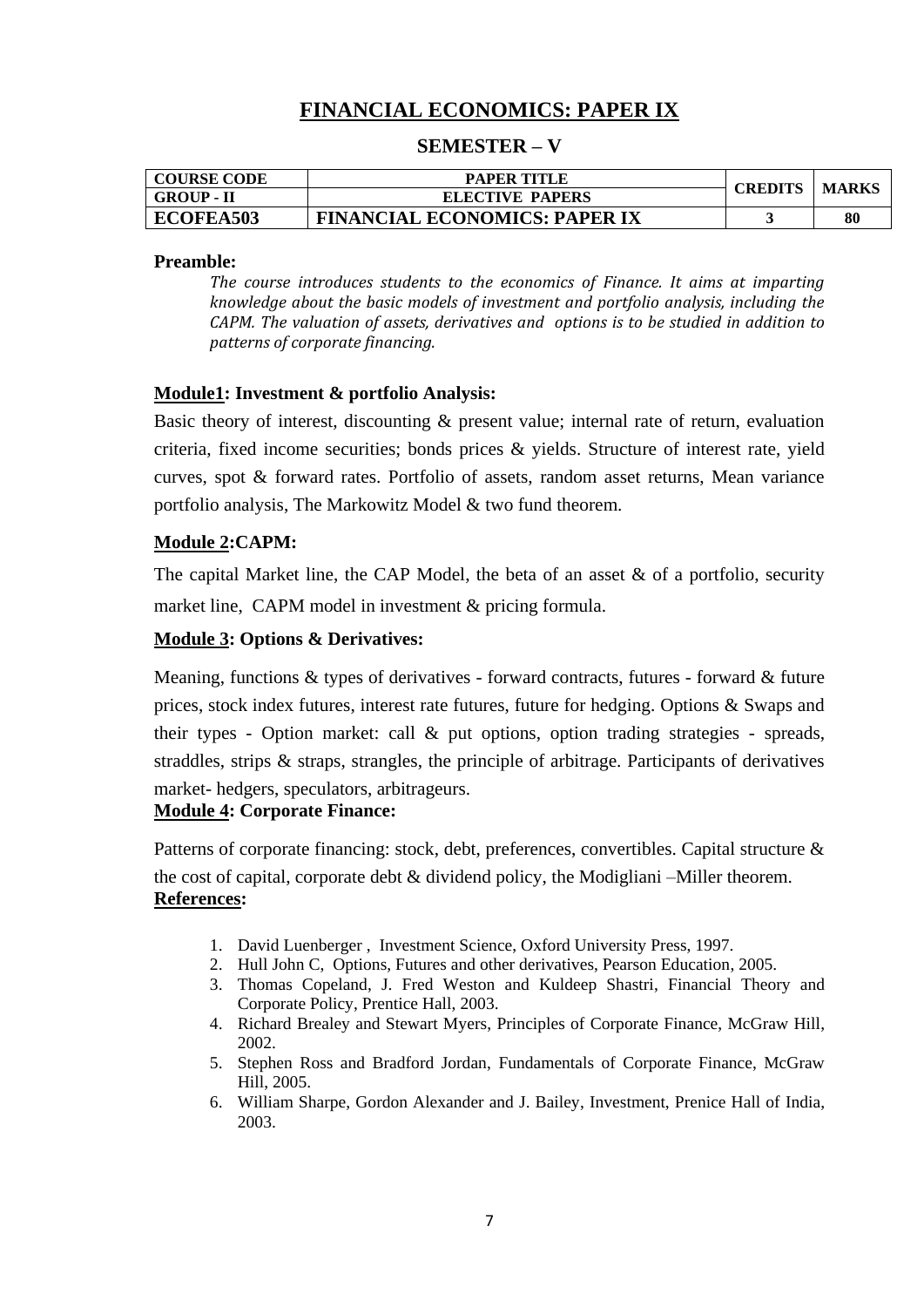# **FINANCIAL ECONOMICS: PAPER IX**

### **SEMESTER – V**

| <b>COURSE CODE</b> | <b>PAPER TITLE</b>                   | <b>CREDITS</b> | MARKS |
|--------------------|--------------------------------------|----------------|-------|
| <b>GROUP - II</b>  | <b>ELECTIVE PAPERS</b>               |                |       |
| ECOFEA503          | <b>FINANCIAL ECONOMICS: PAPER IX</b> |                | 80    |

#### **Preamble:**

*The course introduces students to the economics of Finance. It aims at imparting knowledge about the basic models of investment and portfolio analysis, including the CAPM. The valuation of assets, derivatives and options is to be studied in addition to patterns of corporate financing.*

### **Module1: Investment & portfolio Analysis:**

Basic theory of interest, discounting & present value; internal rate of return, evaluation criteria, fixed income securities; bonds prices & yields. Structure of interest rate, yield curves, spot & forward rates. Portfolio of assets, random asset returns, Mean variance portfolio analysis, The Markowitz Model & two fund theorem.

### **Module 2:CAPM:**

The capital Market line, the CAP Model, the beta of an asset  $\&$  of a portfolio, security market line, CAPM model in investment & pricing formula.

### **Module 3: Options & Derivatives:**

Meaning, functions & types of derivatives - forward contracts, futures - forward & future prices, stock index futures, interest rate futures, future for hedging. Options & Swaps and their types - Option market: call & put options, option trading strategies - spreads, straddles, strips  $\&$  straps, strangles, the principle of arbitrage. Participants of derivatives market- hedgers, speculators, arbitrageurs.

### **Module 4: Corporate Finance:**

Patterns of corporate financing: stock, debt, preferences, convertibles. Capital structure & the cost of capital, corporate debt & dividend policy, the Modigliani –Miller theorem. **References:**

- 1. David Luenberger , Investment Science, Oxford University Press, 1997.
- 2. Hull John C, Options, Futures and other derivatives, Pearson Education, 2005.
- 3. Thomas Copeland, J. Fred Weston and Kuldeep Shastri, Financial Theory and Corporate Policy, Prentice Hall, 2003.
- 4. Richard Brealey and Stewart Myers, Principles of Corporate Finance, McGraw Hill, 2002.
- 5. Stephen Ross and Bradford Jordan, Fundamentals of Corporate Finance, McGraw Hill, 2005.
- 6. William Sharpe, Gordon Alexander and J. Bailey, Investment, Prenice Hall of India, 2003.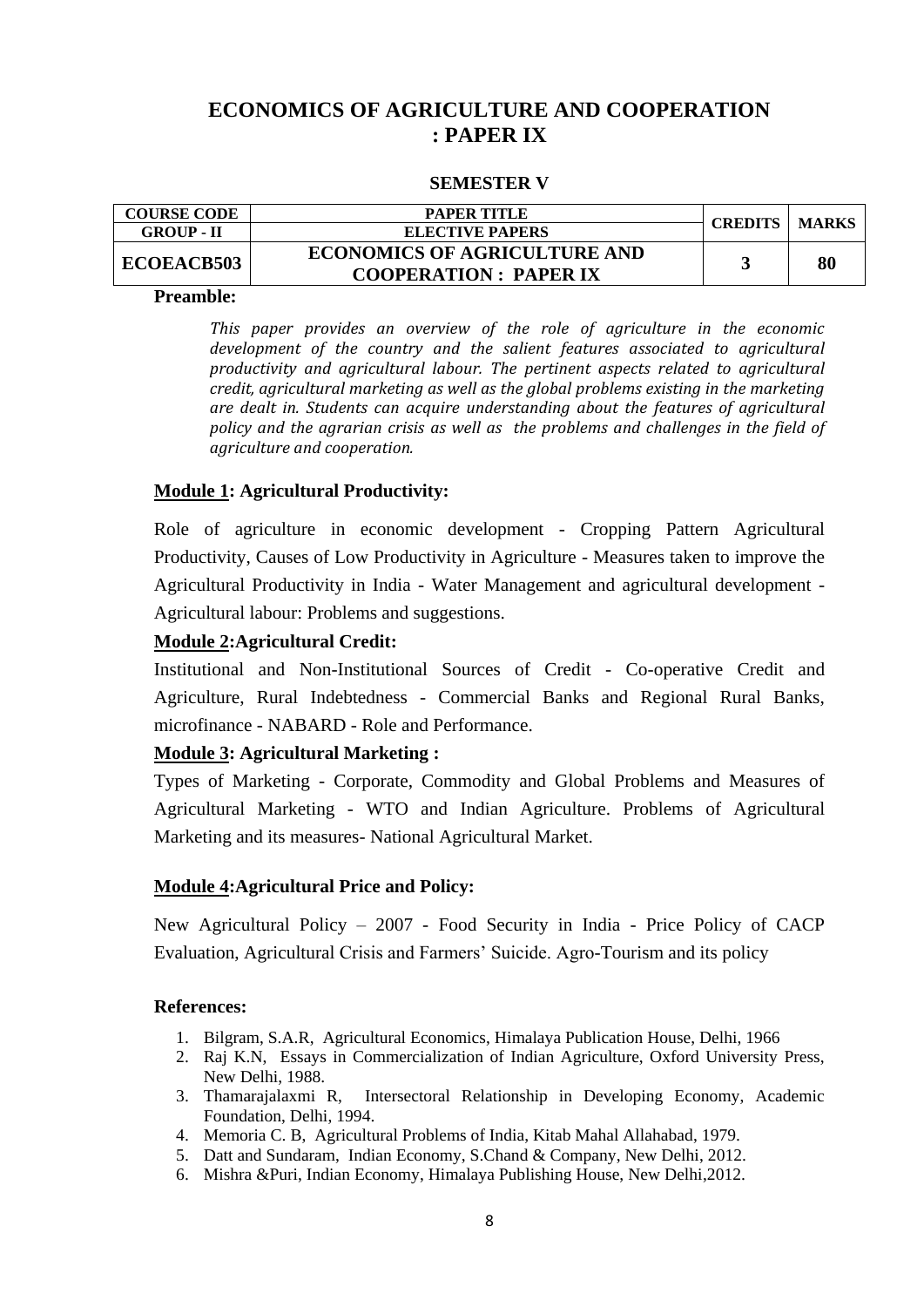# **ECONOMICS OF AGRICULTURE AND COOPERATION : PAPER IX**

### **SEMESTER V**

| <b>COURSE CODE</b> | PAPER TITLE                                                         | <b>CREDITS</b> | <b>MARKS</b> |
|--------------------|---------------------------------------------------------------------|----------------|--------------|
| <b>GROUP - II</b>  | <b>ELECTIVE PAPERS</b>                                              |                |              |
| <b>ECOEACB503</b>  | <b>ECONOMICS OF AGRICULTURE AND</b><br><b>COOPERATION: PAPER IX</b> |                | 80           |

#### **Preamble:**

*This paper provides an overview of the role of agriculture in the economic development of the country and the salient features associated to agricultural productivity and agricultural labour. The pertinent aspects related to agricultural credit, agricultural marketing as well as the global problems existing in the marketing are dealt in. Students can acquire understanding about the features of agricultural policy and the agrarian crisis as well as the problems and challenges in the field of agriculture and cooperation.*

### **Module 1: Agricultural Productivity:**

Role of agriculture in economic development - Cropping Pattern Agricultural Productivity, Causes of Low Productivity in Agriculture - Measures taken to improve the Agricultural Productivity in India - Water Management and agricultural development - Agricultural labour: Problems and suggestions.

### **Module 2:Agricultural Credit:**

Institutional and Non-Institutional Sources of Credit - Co-operative Credit and Agriculture, Rural Indebtedness - Commercial Banks and Regional Rural Banks, microfinance - NABARD - Role and Performance.

#### **Module 3: Agricultural Marketing :**

Types of Marketing - Corporate, Commodity and Global Problems and Measures of Agricultural Marketing - WTO and Indian Agriculture. Problems of Agricultural Marketing and its measures- National Agricultural Market.

#### **Module 4:Agricultural Price and Policy:**

New Agricultural Policy – 2007 - Food Security in India - Price Policy of CACP Evaluation, Agricultural Crisis and Farmers" Suicide. Agro-Tourism and its policy

- 1. Bilgram, S.A.R, Agricultural Economics, Himalaya Publication House, Delhi, 1966
- 2. Raj K.N, Essays in Commercialization of Indian Agriculture, Oxford University Press, New Delhi, 1988.
- 3. Thamarajalaxmi R, Intersectoral Relationship in Developing Economy, Academic Foundation, Delhi, 1994.
- 4. Memoria C. B, Agricultural Problems of India, Kitab Mahal Allahabad, 1979.
- 5. Datt and Sundaram, Indian Economy, S.Chand & Company, New Delhi, 2012.
- 6. Mishra &Puri, Indian Economy, Himalaya Publishing House, New Delhi,2012.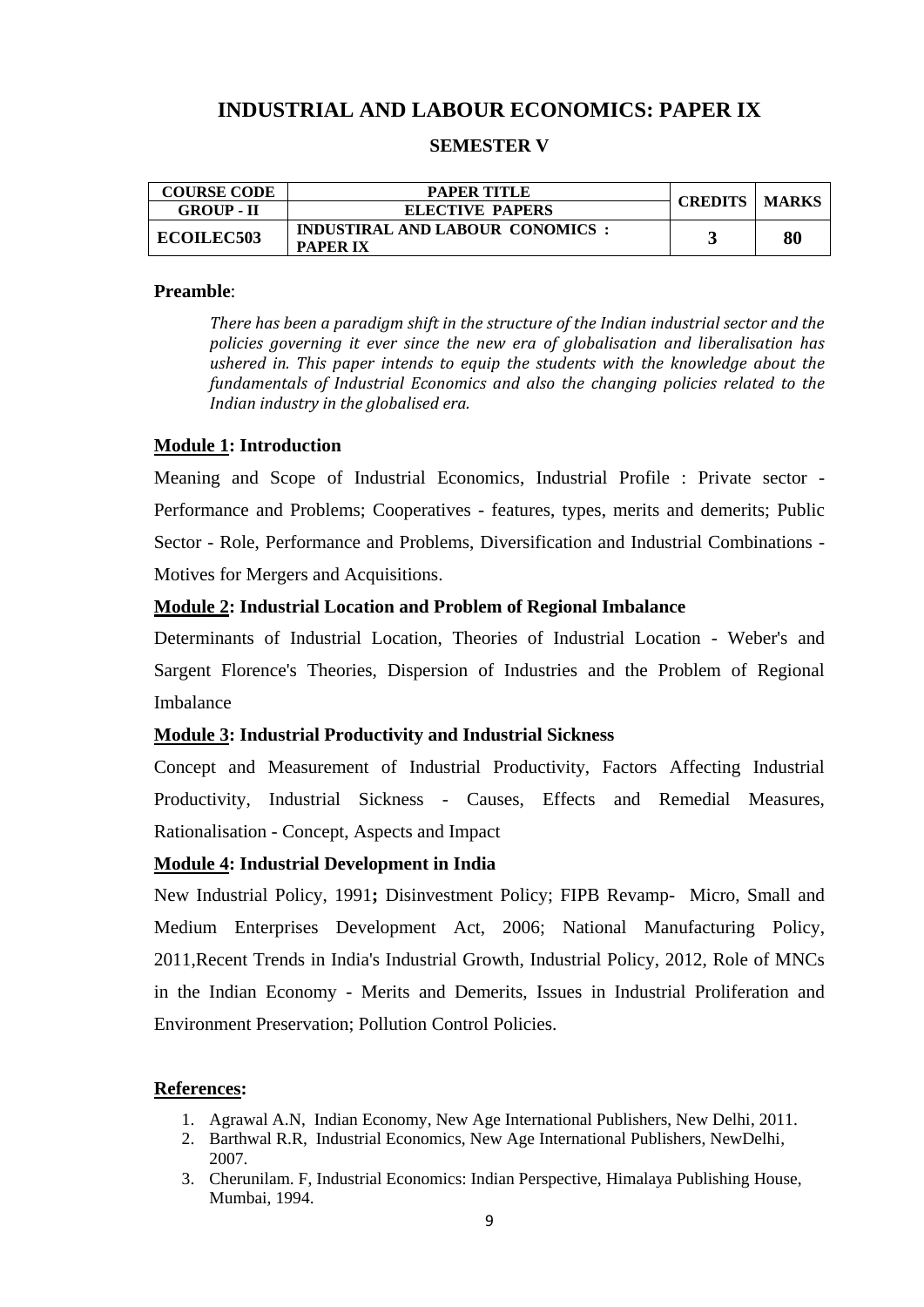# **INDUSTRIAL AND LABOUR ECONOMICS: PAPER IX**

### **SEMESTER V**

| <b>COURSE CODE</b> | <b>PAPER TITLE</b>                                        |  | <b>CREDITS   MARKS</b> |
|--------------------|-----------------------------------------------------------|--|------------------------|
| <b>GROUP - II</b>  | <b>ELECTIVE PAPERS</b>                                    |  |                        |
| <b>ECOILEC503</b>  | <b>INDUSTIRAL AND LABOUR CONOMICS:</b><br><b>PAPER IX</b> |  | 80                     |

#### **Preamble**:

*There has been a paradigm shift in the structure of the Indian industrial sector and the policies governing it ever since the new era of globalisation and liberalisation has ushered in. This paper intends to equip the students with the knowledge about the fundamentals of Industrial Economics and also the changing policies related to the Indian industry in the globalised era.*

#### **Module 1: Introduction**

Meaning and Scope of Industrial Economics, Industrial Profile : Private sector - Performance and Problems; Cooperatives - features, types, merits and demerits; Public Sector - Role, Performance and Problems, Diversification and Industrial Combinations - Motives for Mergers and Acquisitions.

### **Module 2: Industrial Location and Problem of Regional Imbalance**

Determinants of Industrial Location, Theories of Industrial Location - Weber's and Sargent Florence's Theories, Dispersion of Industries and the Problem of Regional Imbalance

#### **Module 3: Industrial Productivity and Industrial Sickness**

Concept and Measurement of Industrial Productivity, Factors Affecting Industrial Productivity, Industrial Sickness - Causes, Effects and Remedial Measures, Rationalisation - Concept, Aspects and Impact

#### **Module 4: Industrial Development in India**

New Industrial Policy, 1991**;** Disinvestment Policy; FIPB Revamp- Micro, Small and Medium Enterprises Development Act, 2006; National Manufacturing Policy, 2011,Recent Trends in India's Industrial Growth, Industrial Policy, 2012, Role of MNCs in the Indian Economy - Merits and Demerits, Issues in Industrial Proliferation and Environment Preservation; Pollution Control Policies.

- 1. Agrawal A.N, Indian Economy, New Age International Publishers, New Delhi, 2011.
- 2. Barthwal R.R, Industrial Economics, New Age International Publishers, NewDelhi, 2007.
- 3. Cherunilam. F, Industrial Economics: Indian Perspective, Himalaya Publishing House, Mumbai, 1994.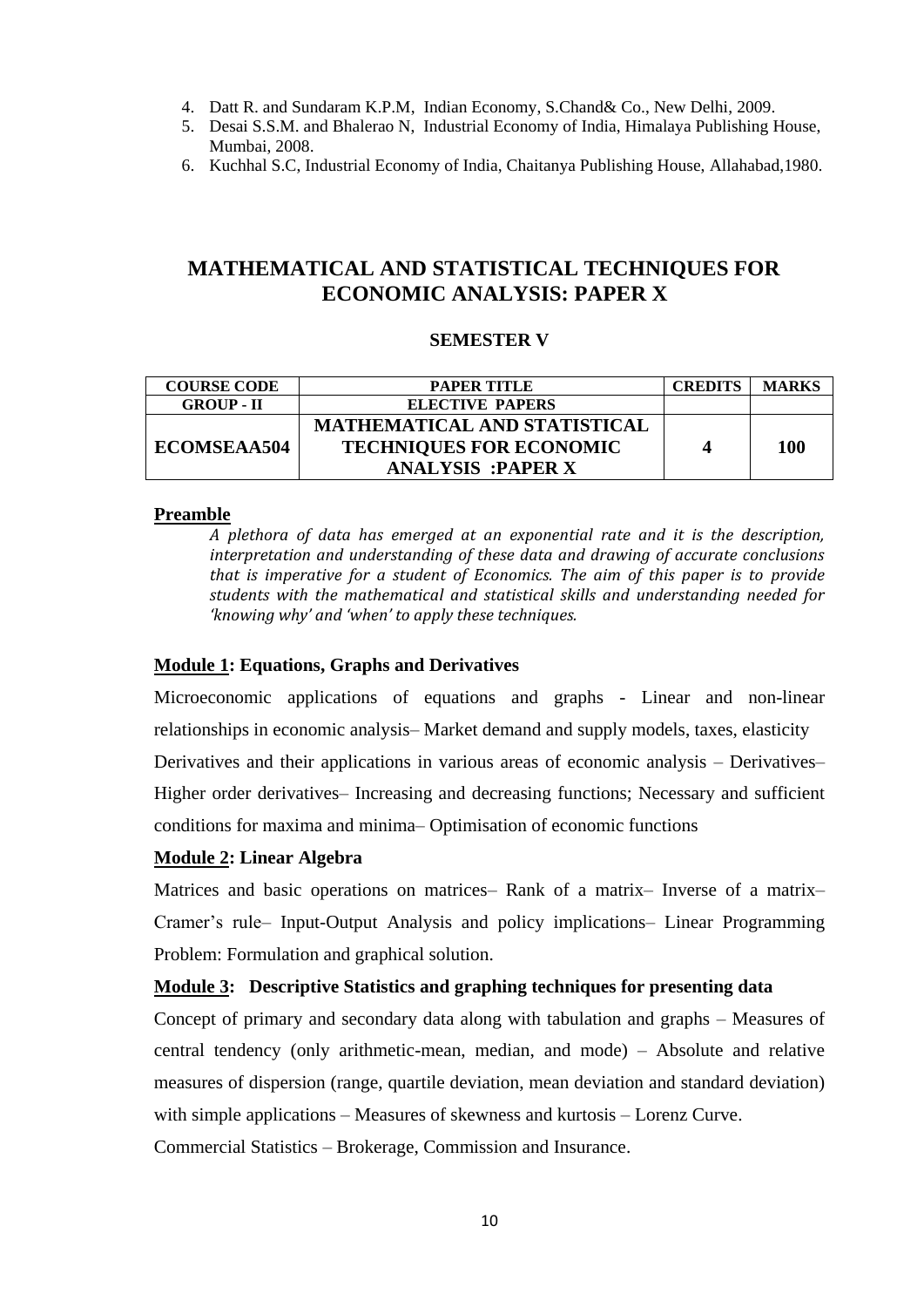- 4. Datt R. and Sundaram K.P.M, Indian Economy, S.Chand& Co., New Delhi, 2009.
- 5. Desai S.S.M. and Bhalerao N, Industrial Economy of India, Himalaya Publishing House, Mumbai, 2008.
- 6. Kuchhal S.C, Industrial Economy of India, Chaitanya Publishing House, Allahabad,1980.

# **MATHEMATICAL AND STATISTICAL TECHNIQUES FOR ECONOMIC ANALYSIS: PAPER X**

### **SEMESTER V**

| <b>COURSE CODE</b> | <b>PAPER TITLE</b>                  | <b>CREDITS</b> | <b>MARKS</b> |
|--------------------|-------------------------------------|----------------|--------------|
| <b>GROUP - II</b>  | <b>ELECTIVE PAPERS</b>              |                |              |
|                    | <b>MATHEMATICAL AND STATISTICAL</b> |                |              |
| <b>ECOMSEAA504</b> | <b>TECHNIQUES FOR ECONOMIC</b>      |                | 100          |
|                    | <b>ANALYSIS :PAPER X</b>            |                |              |

### **Preamble**

*A plethora of data has emerged at an exponential rate and it is the description, interpretation and understanding of these data and drawing of accurate conclusions that is imperative for a student of Economics. The aim of this paper is to provide students with the mathematical and statistical skills and understanding needed for 'knowing why' and 'when' to apply these techniques.* 

### **Module 1: Equations, Graphs and Derivatives**

Microeconomic applications of equations and graphs - Linear and non-linear relationships in economic analysis– Market demand and supply models, taxes, elasticity Derivatives and their applications in various areas of economic analysis – Derivatives– Higher order derivatives– Increasing and decreasing functions; Necessary and sufficient conditions for maxima and minima– Optimisation of economic functions

#### **Module 2: Linear Algebra**

Matrices and basic operations on matrices– Rank of a matrix– Inverse of a matrix– Cramer"s rule– Input-Output Analysis and policy implications– Linear Programming Problem: Formulation and graphical solution.

#### **Module 3: Descriptive Statistics and graphing techniques for presenting data**

Concept of primary and secondary data along with tabulation and graphs – Measures of central tendency (only arithmetic-mean, median, and mode) – Absolute and relative measures of dispersion (range, quartile deviation, mean deviation and standard deviation) with simple applications – Measures of skewness and kurtosis – Lorenz Curve.

Commercial Statistics – Brokerage, Commission and Insurance.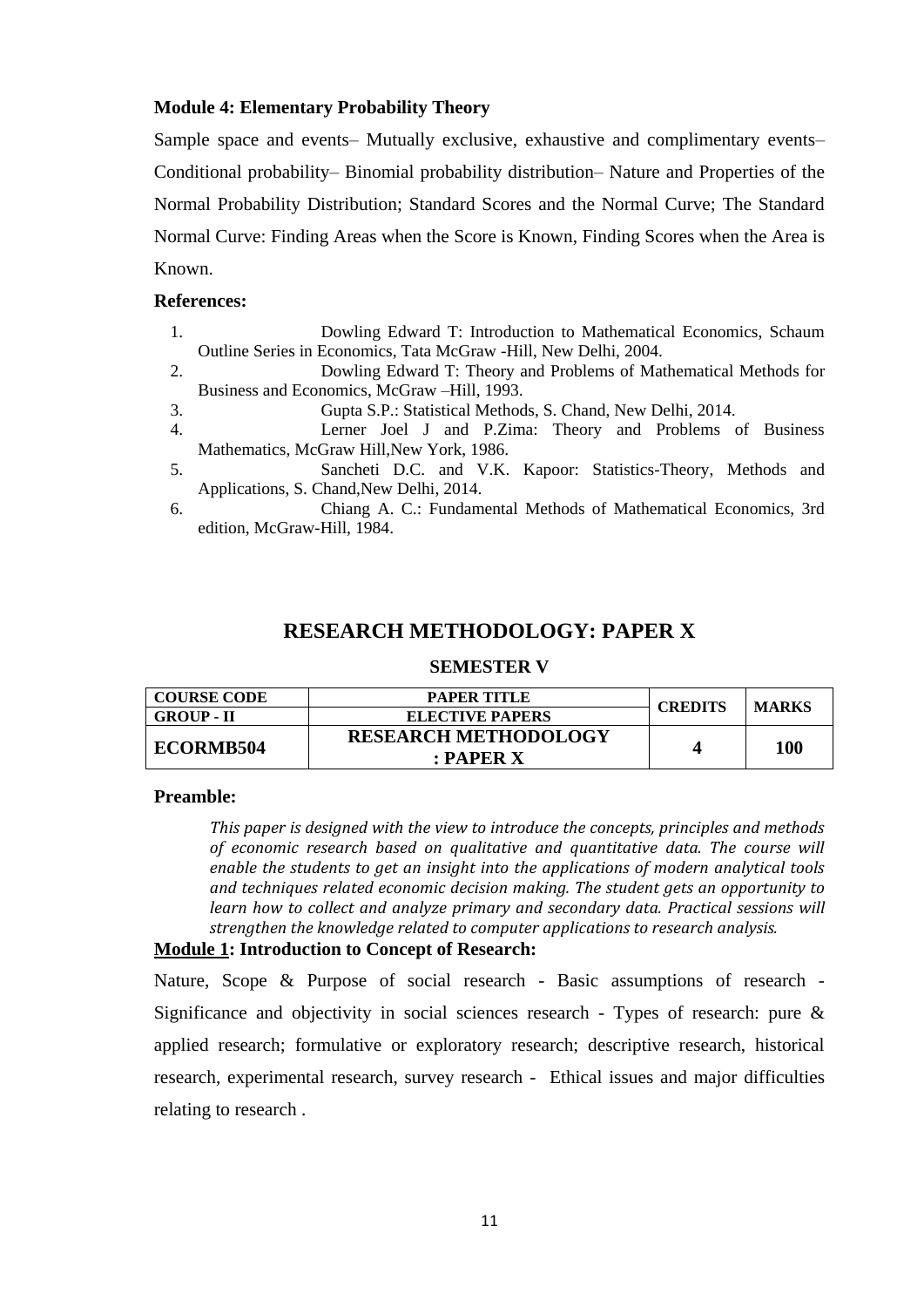### **Module 4: Elementary Probability Theory**

Sample space and events– Mutually exclusive, exhaustive and complimentary events– Conditional probability– Binomial probability distribution– Nature and Properties of the Normal Probability Distribution; Standard Scores and the Normal Curve; The Standard Normal Curve: Finding Areas when the Score is Known, Finding Scores when the Area is Known.

### **References:**

1. Dowling Edward T: Introduction to Mathematical Economics, Schaum Outline Series in Economics, Tata McGraw -Hill, New Delhi, 2004.

2. Dowling Edward T: Theory and Problems of Mathematical Methods for Business and Economics, McGraw –Hill, 1993.

- 3. Gupta S.P.: Statistical Methods, S. Chand, New Delhi, 2014.
- 4. Lerner Joel J and P.Zima: Theory and Problems of Business Mathematics, McGraw Hill,New York, 1986.
- 5. Sancheti D.C. and V.K. Kapoor: Statistics-Theory, Methods and Applications, S. Chand,New Delhi, 2014.
- 6. Chiang A. C.: Fundamental Methods of Mathematical Economics, 3rd edition, McGraw-Hill, 1984.

## **RESEARCH METHODOLOGY: PAPER X**

#### **SEMESTER V**

| <b>COURSE CODE</b> | <b>PAPER TITLE</b>          | <b>CREDITS</b> | <b>MARKS</b> |
|--------------------|-----------------------------|----------------|--------------|
| <b>GROUP - II</b>  | <b>ELECTIVE PAPERS</b>      |                |              |
| <b>ECORMB504</b>   | <b>RESEARCH METHODOLOGY</b> |                |              |
|                    | $:$ PAPER $X$               |                | 100          |

#### **Preamble:**

*This paper is designed with the view to introduce the concepts, principles and methods of economic research based on qualitative and quantitative data. The course will enable the students to get an insight into the applications of modern analytical tools and techniques related economic decision making. The student gets an opportunity to learn how to collect and analyze primary and secondary data. Practical sessions will strengthen the knowledge related to computer applications to research analysis.*

#### **Module 1: Introduction to Concept of Research:**

Nature, Scope & Purpose of social research - Basic assumptions of research - Significance and objectivity in social sciences research - Types of research: pure & applied research; formulative or exploratory research; descriptive research, historical research, experimental research, survey research - Ethical issues and major difficulties relating to research .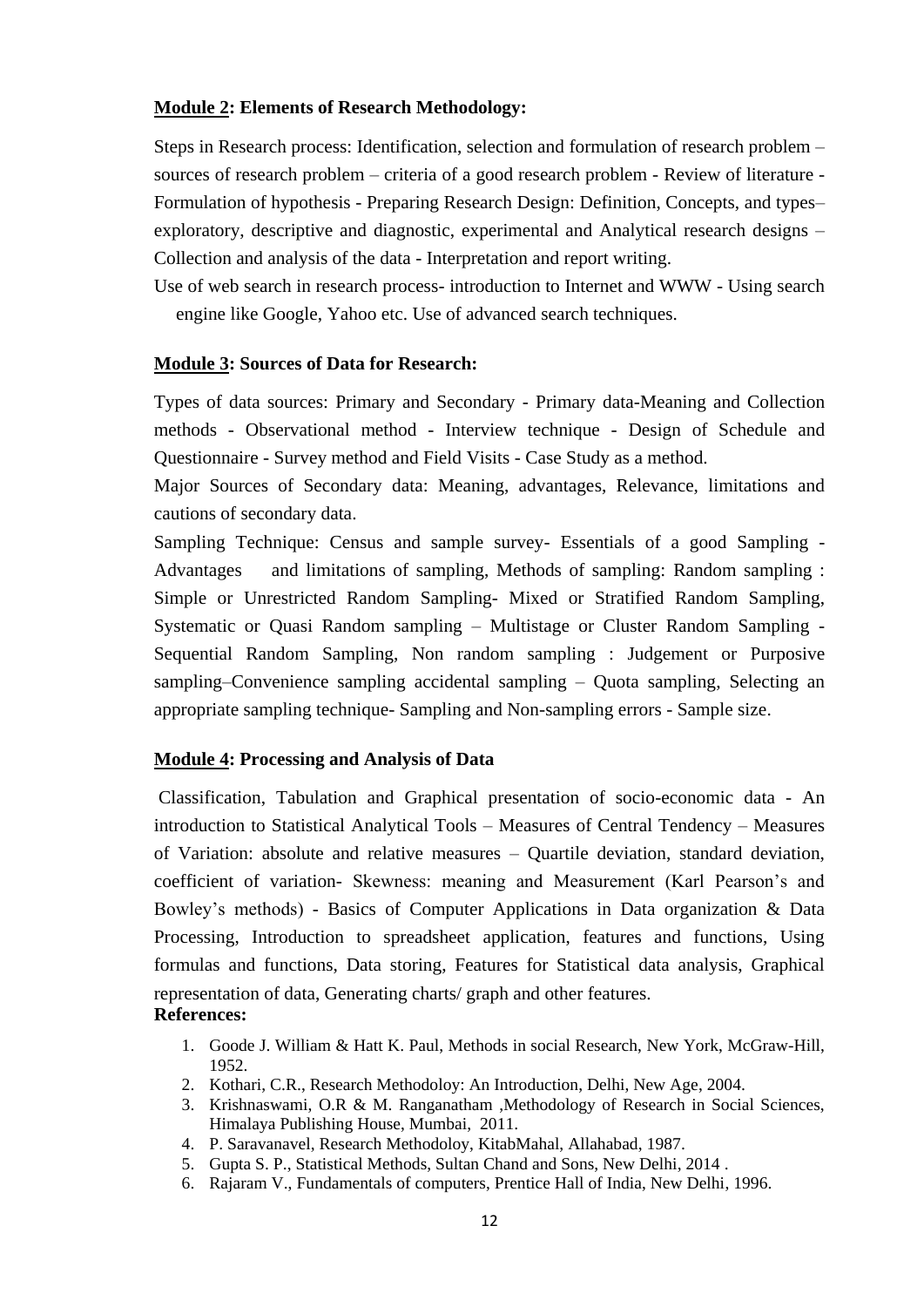#### **Module 2: Elements of Research Methodology:**

Steps in Research process: Identification, selection and formulation of research problem – sources of research problem – criteria of a good research problem - Review of literature - Formulation of hypothesis - Preparing Research Design: Definition, Concepts, and types– exploratory, descriptive and diagnostic, experimental and Analytical research designs – Collection and analysis of the data - Interpretation and report writing.

Use of web search in research process- introduction to Internet and WWW - Using search engine like Google, Yahoo etc. Use of advanced search techniques.

#### **Module 3: Sources of Data for Research:**

Types of data sources: Primary and Secondary - Primary data-Meaning and Collection methods - Observational method - Interview technique - Design of Schedule and Questionnaire - Survey method and Field Visits - Case Study as a method.

Major Sources of Secondary data: Meaning, advantages, Relevance, limitations and cautions of secondary data.

Sampling Technique: Census and sample survey- Essentials of a good Sampling - Advantages and limitations of sampling, Methods of sampling: Random sampling : Simple or Unrestricted Random Sampling- Mixed or Stratified Random Sampling, Systematic or Quasi Random sampling – Multistage or Cluster Random Sampling - Sequential Random Sampling, Non random sampling : Judgement or Purposive sampling–Convenience sampling accidental sampling – Quota sampling, Selecting an appropriate sampling technique- Sampling and Non-sampling errors - Sample size.

#### **Module 4: Processing and Analysis of Data**

Classification, Tabulation and Graphical presentation of socio-economic data - An introduction to Statistical Analytical Tools – Measures of Central Tendency – Measures of Variation: absolute and relative measures – Quartile deviation, standard deviation, coefficient of variation- Skewness: meaning and Measurement (Karl Pearson"s and Bowley"s methods) - Basics of Computer Applications in Data organization & Data Processing, Introduction to spreadsheet application, features and functions, Using formulas and functions, Data storing, Features for Statistical data analysis, Graphical representation of data, Generating charts/ graph and other features. **References:**

- 1. Goode J. William & Hatt K. Paul, Methods in social Research, New York, McGraw-Hill, 1952.
- 2. Kothari, C.R., Research Methodoloy: An Introduction, Delhi, New Age, 2004.
- 3. Krishnaswami, O.R & M. Ranganatham ,Methodology of Research in Social Sciences, Himalaya Publishing House, Mumbai, 2011.
- 4. P. Saravanavel, Research Methodoloy, KitabMahal, Allahabad, 1987.
- 5. Gupta S. P., Statistical Methods, Sultan Chand and Sons, New Delhi, 2014 .
- 6. Rajaram V., Fundamentals of computers, Prentice Hall of India, New Delhi, 1996.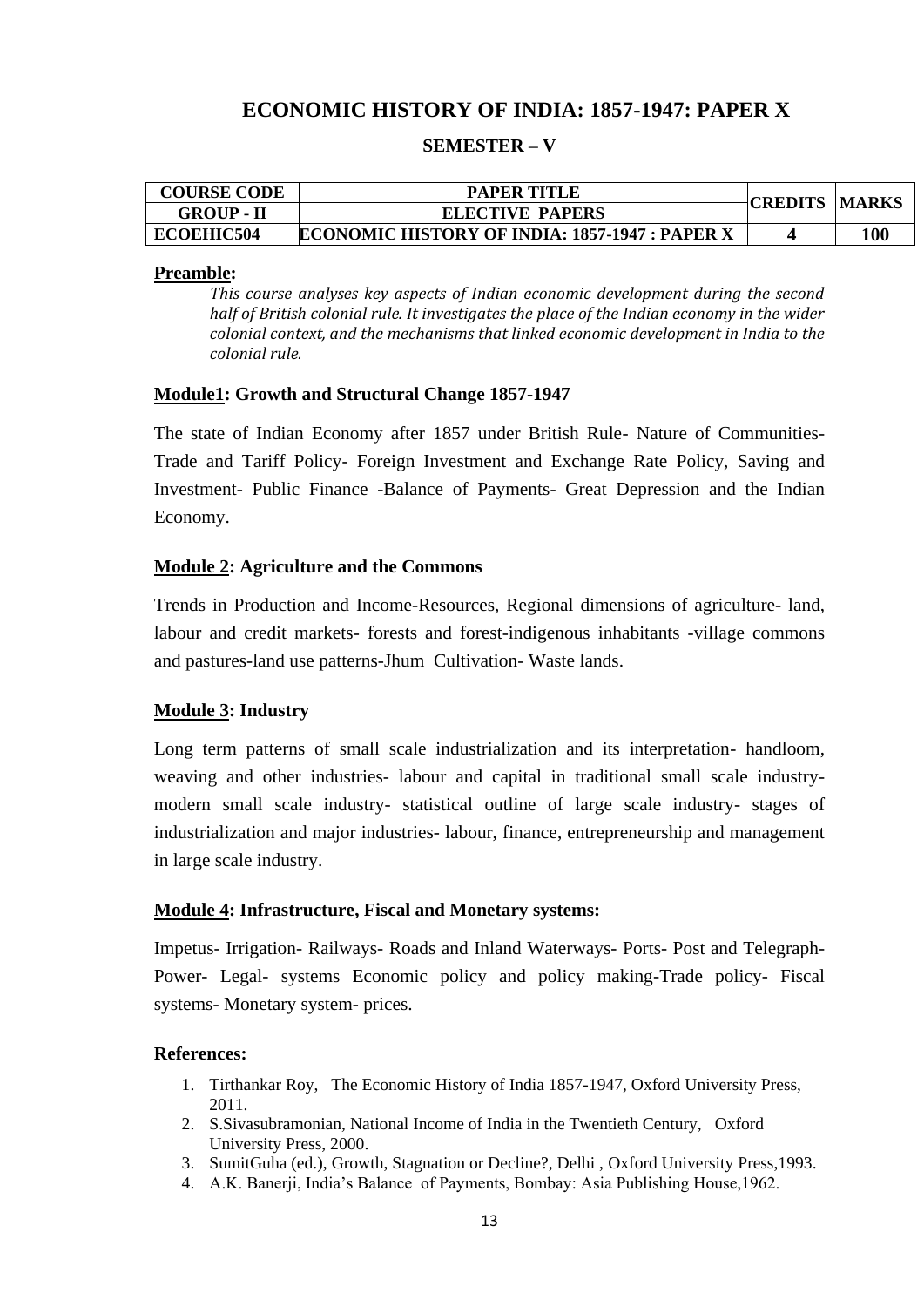# **ECONOMIC HISTORY OF INDIA: 1857-1947: PAPER X**

### **SEMESTER – V**

| <b>COURSE CODE</b> | <b>PAPER TITLE</b>                                    |                      |     |
|--------------------|-------------------------------------------------------|----------------------|-----|
| <b>GROUP - II</b>  | <b>ELECTIVE PAPERS</b>                                | <b>CREDITS MARKS</b> |     |
| <b>ECOEHIC504</b>  | <b>ECONOMIC HISTORY OF INDIA: 1857-1947 : PAPER X</b> |                      | 100 |

#### **Preamble:**

*This course analyses key aspects of Indian economic development during the second half of British colonial rule. It investigates the place of the Indian economy in the wider colonial context, and the mechanisms that linked economic development in India to the colonial rule.* 

#### **Module1: Growth and Structural Change 1857-1947**

The state of Indian Economy after 1857 under British Rule- Nature of Communities-Trade and Tariff Policy- Foreign Investment and Exchange Rate Policy, Saving and Investment- Public Finance -Balance of Payments- Great Depression and the Indian Economy.

#### **Module 2: Agriculture and the Commons**

Trends in Production and Income-Resources, Regional dimensions of agriculture- land, labour and credit markets- forests and forest-indigenous inhabitants -village commons and pastures-land use patterns-Jhum Cultivation- Waste lands.

#### **Module 3: Industry**

Long term patterns of small scale industrialization and its interpretation- handloom, weaving and other industries- labour and capital in traditional small scale industrymodern small scale industry- statistical outline of large scale industry- stages of industrialization and major industries- labour, finance, entrepreneurship and management in large scale industry.

#### **Module 4: Infrastructure, Fiscal and Monetary systems:**

Impetus- Irrigation- Railways- Roads and Inland Waterways- Ports- Post and Telegraph-Power- Legal- systems Economic policy and policy making-Trade policy- Fiscal systems- Monetary system- prices.

- 1. Tirthankar Roy, The Economic History of India 1857-1947, Oxford University Press, 2011.
- 2. S.Sivasubramonian, National Income of India in the Twentieth Century, Oxford University Press, 2000.
- 3. SumitGuha (ed.), Growth, Stagnation or Decline?, Delhi , Oxford University Press,1993.
- 4. A.K. Banerji, India"s Balance of Payments, Bombay: Asia Publishing House,1962.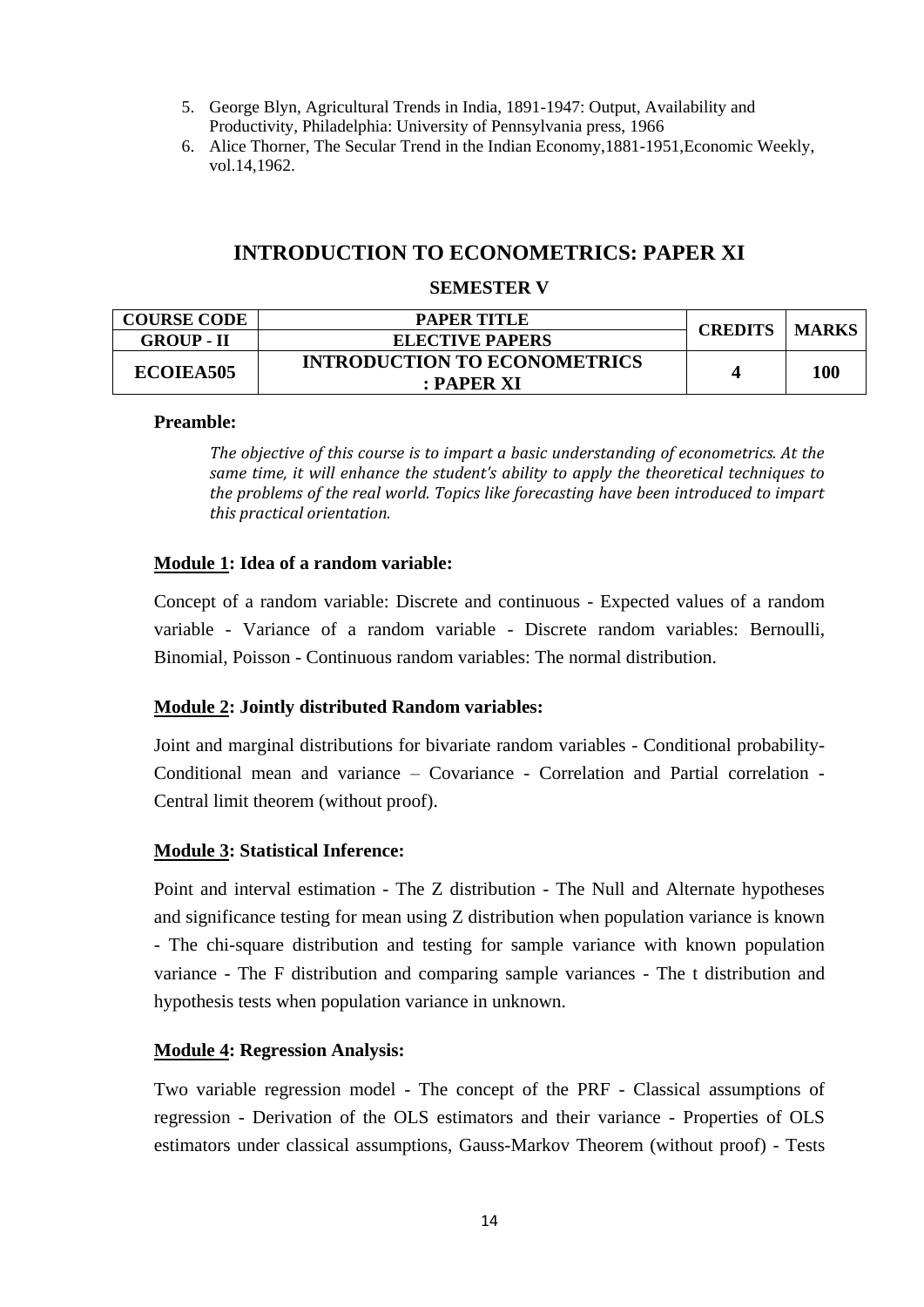- 5. George Blyn, Agricultural Trends in India, 1891-1947: Output, Availability and Productivity, Philadelphia: University of Pennsylvania press, 1966
- 6. Alice Thorner, The Secular Trend in the Indian Economy,1881-1951,Economic Weekly, vol.14,1962.

# **INTRODUCTION TO ECONOMETRICS: PAPER XI**

### **SEMESTER V**

| <b>COURSE CODE</b> | PAPER TITLE                         | <b>CREDITS</b> | <b>MARKS</b> |
|--------------------|-------------------------------------|----------------|--------------|
| <b>GROUP - II</b>  | <b>ELECTIVE PAPERS</b>              |                |              |
| ECOIEA505          | <b>INTRODUCTION TO ECONOMETRICS</b> |                | 100          |
|                    | $:$ PAPER XI                        |                |              |

### **Preamble:**

*The objective of this course is to impart a basic understanding of econometrics. At the same time, it will enhance the student's ability to apply the theoretical techniques to the problems of the real world. Topics like forecasting have been introduced to impart this practical orientation.*

### **Module 1: Idea of a random variable:**

Concept of a random variable: Discrete and continuous - Expected values of a random variable - Variance of a random variable - Discrete random variables: Bernoulli, Binomial, Poisson - Continuous random variables: The normal distribution.

### **Module 2: Jointly distributed Random variables:**

Joint and marginal distributions for bivariate random variables - Conditional probability-Conditional mean and variance – Covariance - Correlation and Partial correlation - Central limit theorem (without proof).

### **Module 3: Statistical Inference:**

Point and interval estimation - The Z distribution - The Null and Alternate hypotheses and significance testing for mean using Z distribution when population variance is known - The chi-square distribution and testing for sample variance with known population variance - The F distribution and comparing sample variances - The t distribution and hypothesis tests when population variance in unknown.

### **Module 4: Regression Analysis:**

Two variable regression model - The concept of the PRF - Classical assumptions of regression - Derivation of the OLS estimators and their variance - Properties of OLS estimators under classical assumptions, Gauss-Markov Theorem (without proof) - Tests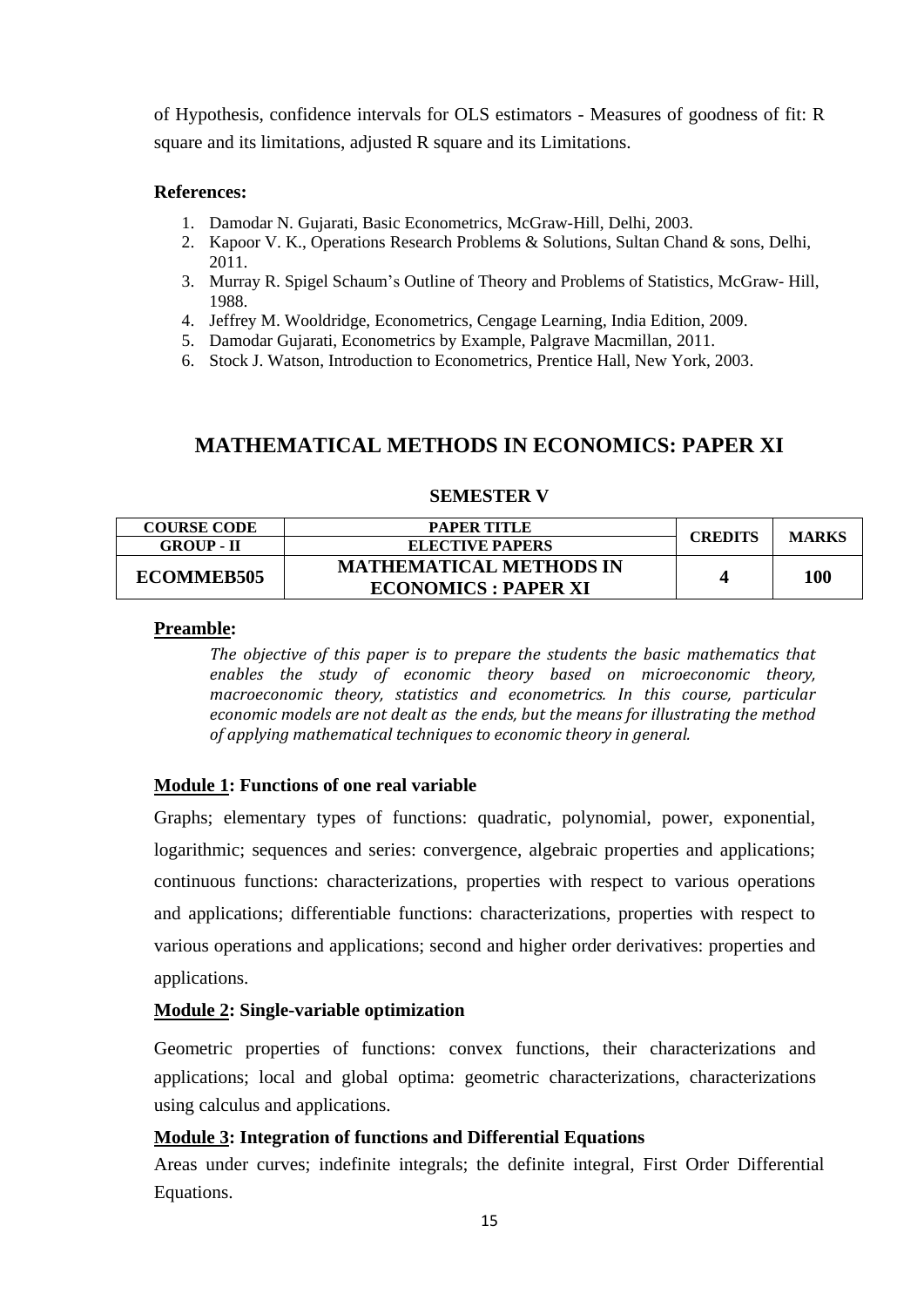of Hypothesis, confidence intervals for OLS estimators - Measures of goodness of fit: R square and its limitations, adjusted R square and its Limitations.

### **References:**

- 1. Damodar N. Gujarati, Basic Econometrics, McGraw-Hill, Delhi, 2003.
- 2. Kapoor V. K., Operations Research Problems & Solutions, Sultan Chand & sons, Delhi, 2011.
- 3. Murray R. Spigel Schaum"s Outline of Theory and Problems of Statistics, McGraw- Hill, 1988.
- 4. Jeffrey M. Wooldridge, Econometrics, Cengage Learning, India Edition, 2009.
- 5. Damodar Gujarati, Econometrics by Example, Palgrave Macmillan, 2011.
- 6. Stock J. Watson, Introduction to Econometrics, Prentice Hall, New York, 2003.

# **MATHEMATICAL METHODS IN ECONOMICS: PAPER XI**

### **SEMESTER V**

| <b>COURSE CODE</b> | PAPER TITLE                    | <b>CREDITS</b> | <b>MARKS</b> |
|--------------------|--------------------------------|----------------|--------------|
| <b>GROUP - II</b>  | <b>ELECTIVE PAPERS</b>         |                |              |
| <b>ECOMMEB505</b>  | <b>MATHEMATICAL METHODS IN</b> |                | 100          |
|                    | <b>ECONOMICS: PAPER XI</b>     |                |              |

### **Preamble:**

*The objective of this paper is to prepare the students the basic mathematics that enables the study of economic theory based on microeconomic theory, macroeconomic theory, statistics and econometrics. In this course, particular economic models are not dealt as the ends, but the means for illustrating the method of applying mathematical techniques to economic theory in general.* 

## **Module 1: Functions of one real variable**

Graphs; elementary types of functions: quadratic, polynomial, power, exponential, logarithmic; sequences and series: convergence, algebraic properties and applications; continuous functions: characterizations, properties with respect to various operations and applications; differentiable functions: characterizations, properties with respect to various operations and applications; second and higher order derivatives: properties and applications.

## **Module 2: Single-variable optimization**

Geometric properties of functions: convex functions, their characterizations and applications; local and global optima: geometric characterizations, characterizations using calculus and applications.

## **Module 3: Integration of functions and Differential Equations**

Areas under curves; indefinite integrals; the definite integral, First Order Differential Equations.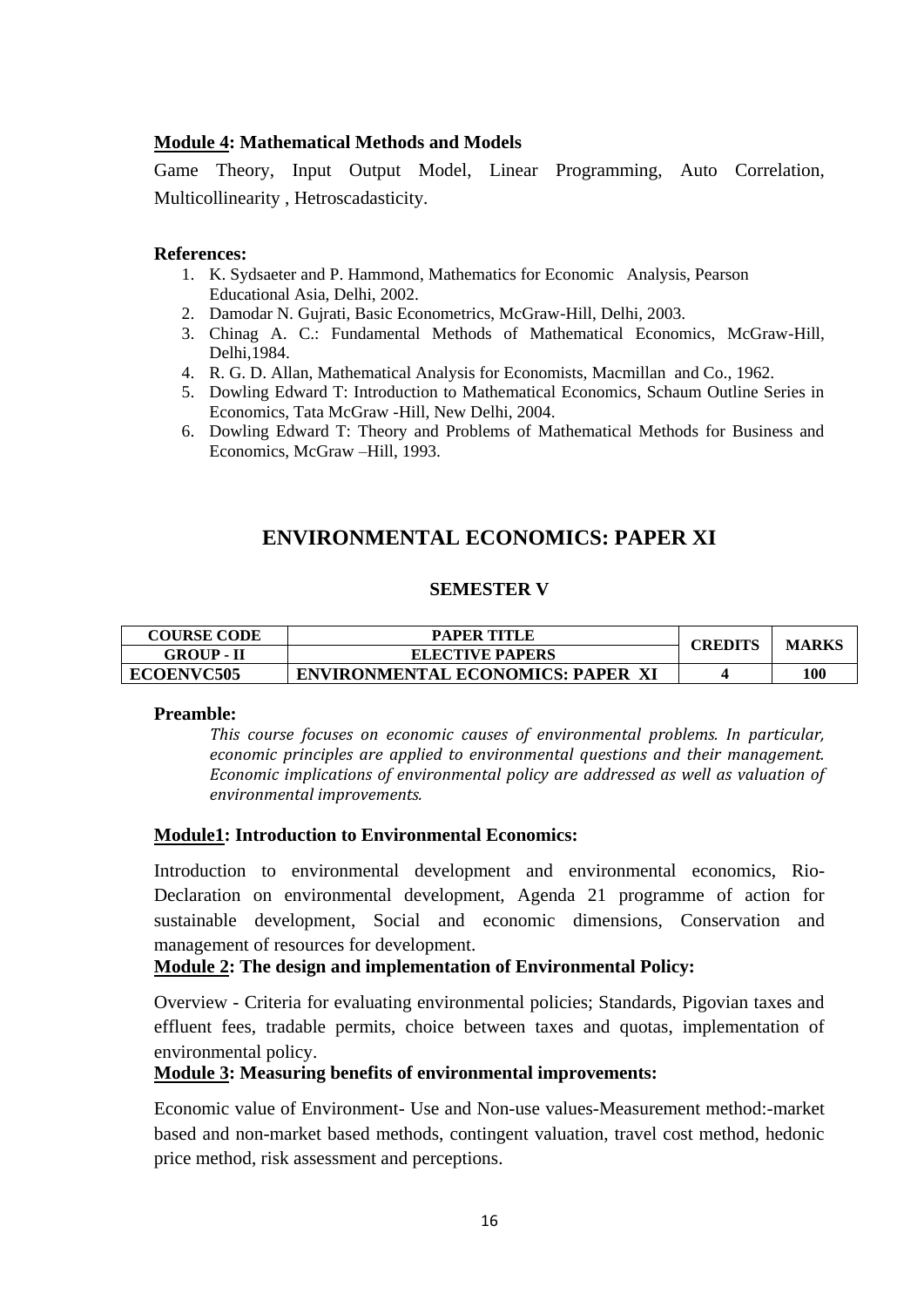### **Module 4: Mathematical Methods and Models**

Game Theory, Input Output Model, Linear Programming, Auto Correlation, Multicollinearity , Hetroscadasticity.

#### **References:**

- 1. K. Sydsaeter and P. Hammond, Mathematics for Economic Analysis, Pearson Educational Asia, Delhi, 2002.
- 2. Damodar N. Gujrati, Basic Econometrics, McGraw-Hill, Delhi, 2003.
- 3. Chinag A. C.: Fundamental Methods of Mathematical Economics, McGraw-Hill, Delhi,1984.
- 4. R. G. D. Allan, Mathematical Analysis for Economists, Macmillan and Co., 1962.
- 5. Dowling Edward T: Introduction to Mathematical Economics, Schaum Outline Series in Economics, Tata McGraw -Hill, New Delhi, 2004.
- 6. Dowling Edward T: Theory and Problems of Mathematical Methods for Business and Economics, McGraw –Hill, 1993.

# **ENVIRONMENTAL ECONOMICS: PAPER XI**

### **SEMESTER V**

| <b>COURSE CODE</b> | <b>PAPER TITLE</b>                       | <b>CREDITS</b> |              |
|--------------------|------------------------------------------|----------------|--------------|
| <b>GROUP - II</b>  | <b>ELECTIVE PAPERS</b>                   |                | <b>MARKS</b> |
| <b>ECOENVC505</b>  | <b>ENVIRONMENTAL ECONOMICS: PAPER XI</b> |                | 100          |

#### **Preamble:**

*This course focuses on economic causes of environmental problems. In particular, economic principles are applied to environmental questions and their management. Economic implications of environmental policy are addressed as well as valuation of environmental improvements.* 

### **Module1: Introduction to Environmental Economics:**

Introduction to environmental development and environmental economics, Rio-Declaration on environmental development, Agenda 21 programme of action for sustainable development, Social and economic dimensions, Conservation and management of resources for development.

### **Module 2: The design and implementation of Environmental Policy:**

Overview - Criteria for evaluating environmental policies; Standards, Pigovian taxes and effluent fees, tradable permits, choice between taxes and quotas, implementation of environmental policy.

### **Module 3: Measuring benefits of environmental improvements:**

Economic value of Environment- Use and Non-use values-Measurement method:-market based and non-market based methods, contingent valuation, travel cost method, hedonic price method, risk assessment and perceptions.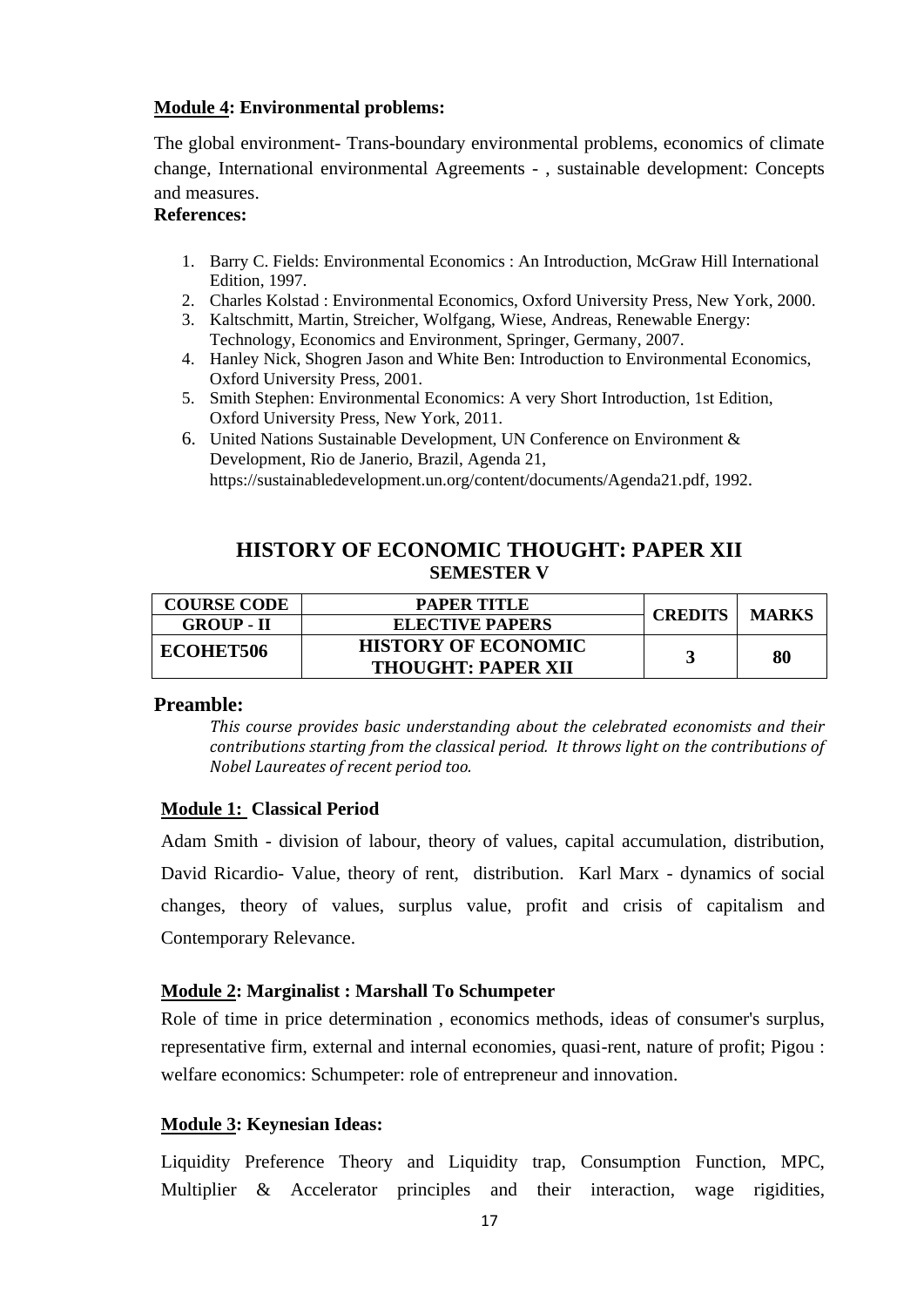### **Module 4: Environmental problems:**

The global environment- Trans-boundary environmental problems, economics of climate change, International environmental Agreements - , sustainable development: Concepts and measures.

### **References:**

- 1. Barry C. Fields: Environmental Economics : An Introduction, McGraw Hill International Edition, 1997.
- 2. Charles Kolstad : Environmental Economics, Oxford University Press, New York, 2000.
- 3. Kaltschmitt, Martin, Streicher, Wolfgang, Wiese, Andreas, Renewable Energy: Technology, Economics and Environment, Springer, Germany, 2007.
- 4. Hanley Nick, Shogren Jason and White Ben: Introduction to Environmental Economics, Oxford University Press, 2001.
- 5. Smith Stephen: Environmental Economics: A very Short Introduction, 1st Edition, Oxford University Press, New York, 2011.
- 6. United Nations Sustainable Development, UN Conference on Environment & Development, Rio de Janerio, Brazil, Agenda 21, [https://sustainabledevelopment.un.org/content/documents/Agenda21.pdf,](https://sustainabledevelopment.un.org/content/documents/Agenda21.pdf) 1992.

# **HISTORY OF ECONOMIC THOUGHT: PAPER XII SEMESTER V**

| <b>COURSE CODE</b> | <b>PAPER TITLE</b>         | <b>CREDITS</b> | <b>MARKS</b> |
|--------------------|----------------------------|----------------|--------------|
| <b>GROUP - II</b>  | <b>ELECTIVE PAPERS</b>     |                |              |
| ECOHET506          | <b>HISTORY OF ECONOMIC</b> |                | 80           |
|                    | <b>THOUGHT: PAPER XII</b>  |                |              |

### **Preamble:**

*This course provides basic understanding about the celebrated economists and their contributions starting from the classical period. It throws light on the contributions of Nobel Laureates of recent period too.* 

### **Module 1: Classical Period**

Adam Smith - division of labour, theory of values, capital accumulation, distribution, David Ricardio- Value, theory of rent, distribution. Karl Marx - dynamics of social changes, theory of values, surplus value, profit and crisis of capitalism and Contemporary Relevance.

## **Module 2: Marginalist : Marshall To Schumpeter**

Role of time in price determination , economics methods, ideas of consumer's surplus, representative firm, external and internal economies, quasi-rent, nature of profit; Pigou : welfare economics: Schumpeter: role of entrepreneur and innovation.

## **Module 3: Keynesian Ideas:**

Liquidity Preference Theory and Liquidity trap, Consumption Function, MPC, Multiplier & Accelerator principles and their interaction, wage rigidities,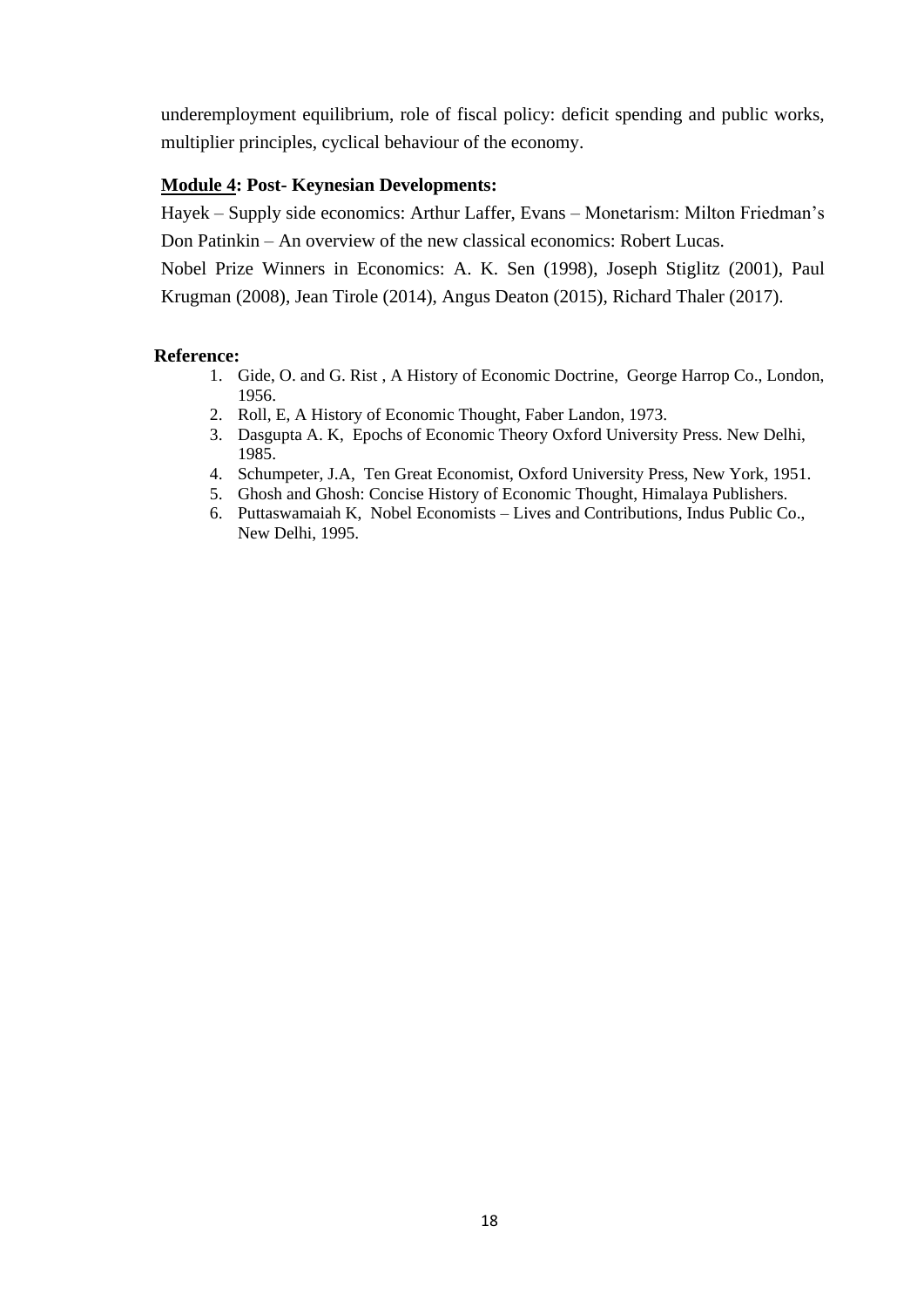underemployment equilibrium, role of fiscal policy: deficit spending and public works, multiplier principles, cyclical behaviour of the economy.

### **Module 4: Post- Keynesian Developments:**

Hayek – Supply side economics: Arthur Laffer, Evans – Monetarism: Milton Friedman"s Don Patinkin – An overview of the new classical economics: Robert Lucas.

Nobel Prize Winners in Economics: A. K. Sen (1998), Joseph Stiglitz (2001), Paul Krugman (2008), Jean Tirole (2014), Angus Deaton (2015), Richard Thaler (2017).

- 1. Gide, O. and G. Rist , A History of Economic Doctrine, George Harrop Co., London, 1956.
- 2. Roll, E, A History of Economic Thought, Faber Landon, 1973.
- 3. Dasgupta A. K, Epochs of Economic Theory Oxford University Press. New Delhi, 1985.
- 4. Schumpeter, J.A, Ten Great Economist, Oxford University Press, New York, 1951.
- 5. Ghosh and Ghosh: Concise History of Economic Thought, Himalaya Publishers.
- 6. Puttaswamaiah K, Nobel Economists Lives and Contributions, Indus Public Co., New Delhi, 1995.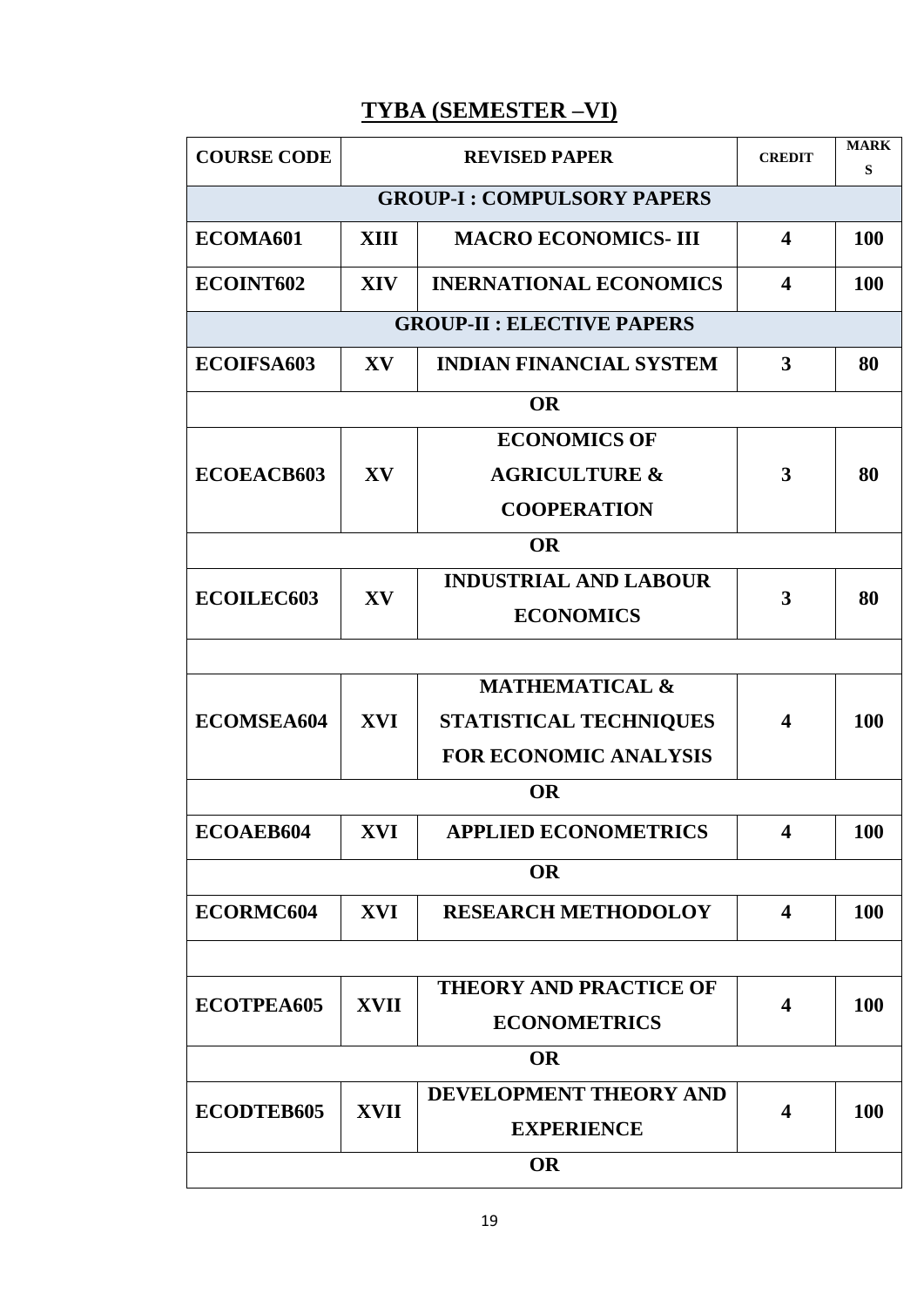# **TYBA (SEMESTER –VI)**

| <b>COURSE CODE</b> |             | <b>REVISED PAPER</b>              | <b>CREDIT</b>           | <b>MARK</b><br>S |
|--------------------|-------------|-----------------------------------|-------------------------|------------------|
|                    |             | <b>GROUP-I: COMPULSORY PAPERS</b> |                         |                  |
| ECOMA601           | <b>XIII</b> | <b>MACRO ECONOMICS- III</b>       | $\overline{\mathbf{4}}$ | 100              |
| ECOINT602          | <b>XIV</b>  | <b>INERNATIONAL ECONOMICS</b>     | $\overline{\mathbf{4}}$ | 100              |
|                    |             | <b>GROUP-II: ELECTIVE PAPERS</b>  |                         |                  |
| ECOIFSA603         | XV          | <b>INDIAN FINANCIAL SYSTEM</b>    | 3                       | 80               |
|                    |             | <b>OR</b>                         |                         |                  |
|                    |             | <b>ECONOMICS OF</b>               |                         |                  |
| ECOEACB603         | XV          | <b>AGRICULTURE &amp;</b>          | 3                       | 80               |
|                    |             | <b>COOPERATION</b>                |                         |                  |
|                    |             | <b>OR</b>                         |                         |                  |
|                    |             | <b>INDUSTRIAL AND LABOUR</b>      |                         |                  |
| <b>ECOILEC603</b>  | XV          | <b>ECONOMICS</b>                  | 3                       | 80               |
|                    |             |                                   |                         |                  |
|                    |             | <b>MATHEMATICAL &amp;</b>         |                         |                  |
| ECOMSEA604         | <b>XVI</b>  | STATISTICAL TECHNIQUES            | $\boldsymbol{4}$        | 100              |
|                    |             | <b>FOR ECONOMIC ANALYSIS</b>      |                         |                  |
|                    |             | <b>OR</b>                         |                         |                  |
| ECOAEB604          | XVI         | <b>APPLIED ECONOMETRICS</b>       | $\Lambda$               | <b>100</b>       |
|                    |             | <b>OR</b>                         |                         |                  |
| ECORMC604          | <b>XVI</b>  | <b>RESEARCH METHODOLOY</b>        | $\overline{\mathbf{4}}$ | 100              |
|                    |             |                                   |                         |                  |
|                    | <b>XVII</b> | <b>THEORY AND PRACTICE OF</b>     |                         |                  |
| ECOTPEA605         |             | <b>ECONOMETRICS</b>               | $\boldsymbol{4}$        | 100              |
|                    |             | <b>OR</b>                         |                         |                  |
| ECODTEB605         | <b>XVII</b> | DEVELOPMENT THEORY AND            | 4                       | 100              |
|                    |             | <b>EXPERIENCE</b>                 |                         |                  |
|                    |             | <b>OR</b>                         |                         |                  |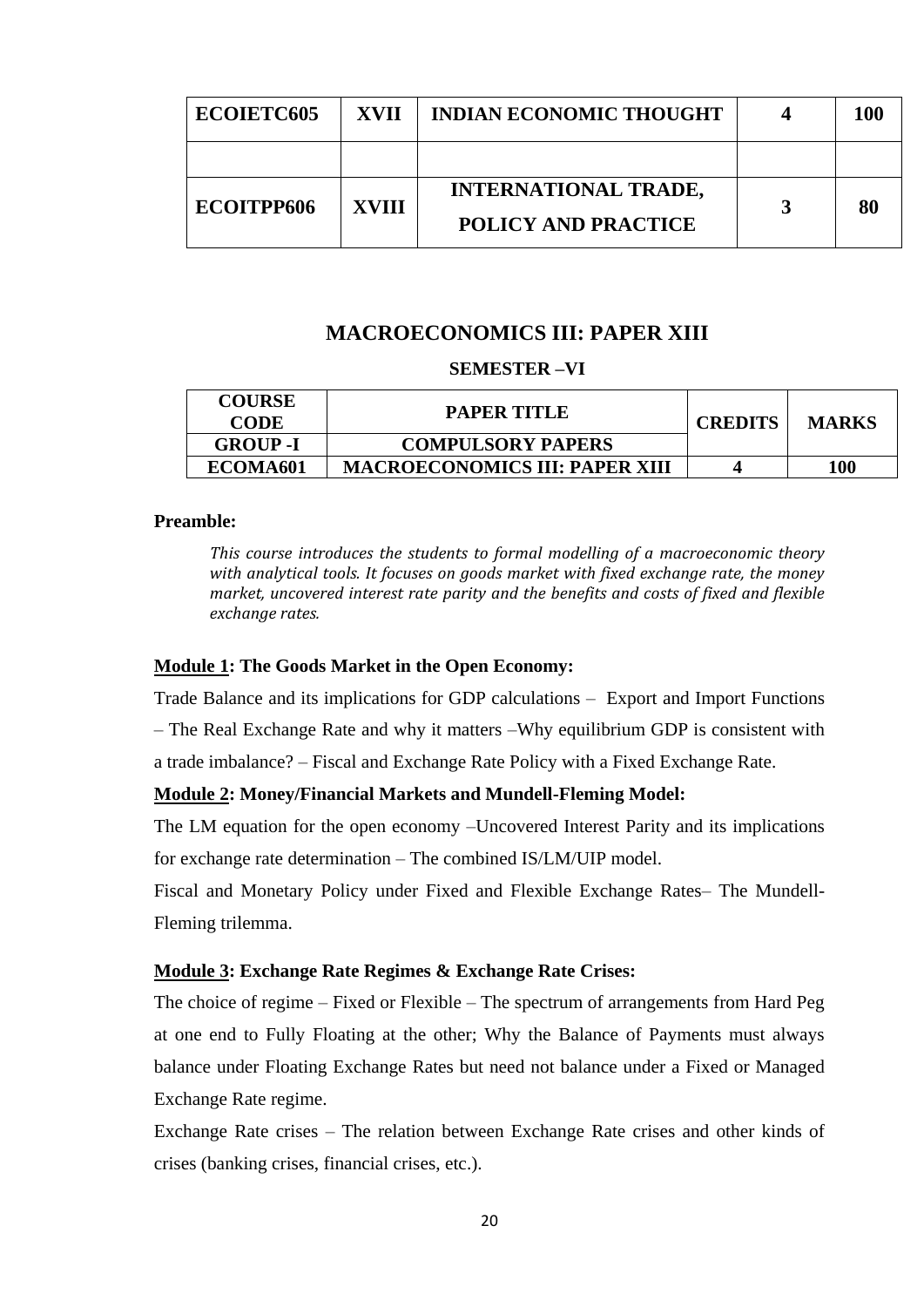| ECOIETC605 | <b>XVII</b>  | <b>INDIAN ECONOMIC THOUGHT</b> | 100 |
|------------|--------------|--------------------------------|-----|
|            |              |                                |     |
| ECOITPP606 | <b>XVIII</b> | <b>INTERNATIONAL TRADE,</b>    | 80  |
|            |              | <b>POLICY AND PRACTICE</b>     |     |

# **MACROECONOMICS III: PAPER XIII**

#### **SEMESTER –VI**

| <b>COURSE</b><br><b>CODE</b> | <b>PAPER TITLE</b>                    | <b>CREDITS</b> | <b>MARKS</b> |
|------------------------------|---------------------------------------|----------------|--------------|
| <b>GROUP</b> -I              | <b>COMPULSORY PAPERS</b>              |                |              |
| ECOMA <sub>601</sub>         | <b>MACROECONOMICS III: PAPER XIII</b> |                | 100          |

### **Preamble:**

*This course introduces the students to formal modelling of a macroeconomic theory with analytical tools. It focuses on goods market with fixed exchange rate, the money market, uncovered interest rate parity and the benefits and costs of fixed and flexible exchange rates.* 

#### **Module 1: The Goods Market in the Open Economy:**

Trade Balance and its implications for GDP calculations – Export and Import Functions

– The Real Exchange Rate and why it matters –Why equilibrium GDP is consistent with

a trade imbalance? – Fiscal and Exchange Rate Policy with a Fixed Exchange Rate.

### **Module 2: Money/Financial Markets and Mundell-Fleming Model:**

The LM equation for the open economy –Uncovered Interest Parity and its implications for exchange rate determination – The combined IS/LM/UIP model.

Fiscal and Monetary Policy under Fixed and Flexible Exchange Rates– The Mundell-Fleming trilemma.

#### **Module 3: Exchange Rate Regimes & Exchange Rate Crises:**

The choice of regime – Fixed or Flexible – The spectrum of arrangements from Hard Peg at one end to Fully Floating at the other; Why the Balance of Payments must always balance under Floating Exchange Rates but need not balance under a Fixed or Managed Exchange Rate regime.

Exchange Rate crises – The relation between Exchange Rate crises and other kinds of crises (banking crises, financial crises, etc.).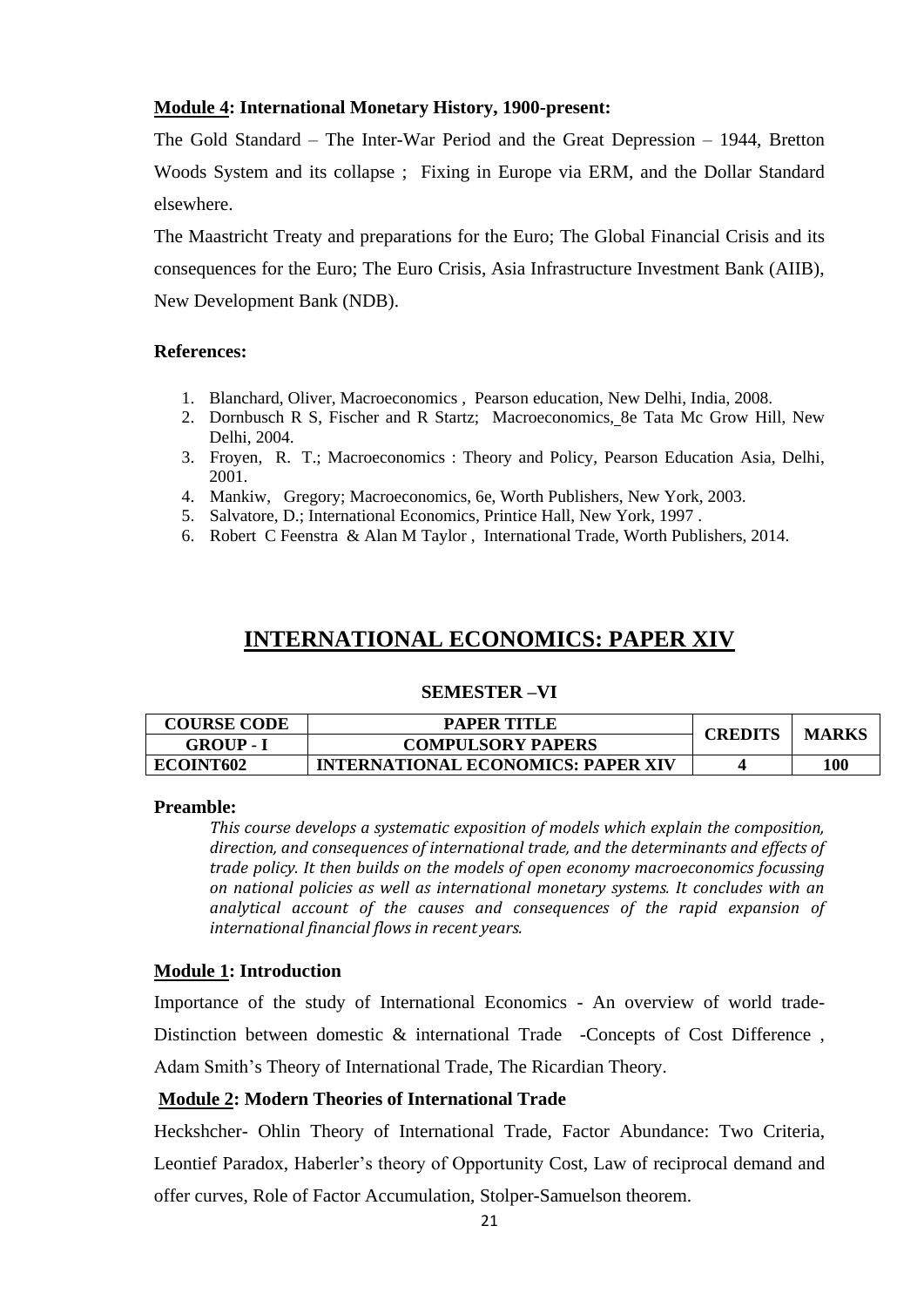### **Module 4: International Monetary History, 1900-present:**

The Gold Standard – The Inter-War Period and the Great Depression – 1944, Bretton Woods System and its collapse ; Fixing in Europe via ERM, and the Dollar Standard elsewhere.

The Maastricht Treaty and preparations for the Euro; The Global Financial Crisis and its consequences for the Euro; The Euro Crisis, Asia Infrastructure Investment Bank (AIIB), New Development Bank (NDB).

### **References:**

- 1. Blanchard, Oliver, Macroeconomics , Pearson education, New Delhi, India, 2008.
- 2. Dornbusch R S, Fischer and R Startz; Macroeconomics, 8e Tata Mc Grow Hill, New Delhi, 2004.
- 3. Froyen, R. T.; Macroeconomics : Theory and Policy, Pearson Education Asia, Delhi, 2001.
- 4. Mankiw, Gregory; Macroeconomics, 6e, Worth Publishers, New York, 2003.
- 5. Salvatore, D.; International Economics, Printice Hall, New York, 1997 .
- 6. Robert C Feenstra & Alan M Taylor , International Trade, Worth Publishers, 2014.

# **INTERNATIONAL ECONOMICS: PAPER XIV**

#### **SEMESTER –VI**

| <b>COURSE CODE</b> | <b>PAPER TITLE</b>                        |         | <b>MARKS</b> |
|--------------------|-------------------------------------------|---------|--------------|
| GROUP - I          | <b>COMPULSORY PAPERS</b>                  | CREDITS |              |
| ECOINT602          | <b>INTERNATIONAL ECONOMICS: PAPER XIV</b> |         | 100          |

#### **Preamble:**

*This course develops a systematic exposition of models which explain the composition, direction, and consequences of international trade, and the determinants and effects of trade policy. It then builds on the models of open economy macroeconomics focussing on national policies as well as international monetary systems. It concludes with an analytical account of the causes and consequences of the rapid expansion of international financial flows in recent years.*

### **Module 1: Introduction**

Importance of the study of International Economics - An overview of world trade-Distinction between domestic & international Trade -Concepts of Cost Difference, Adam Smith's Theory of International Trade, The Ricardian Theory.

### **Module 2: Modern Theories of International Trade**

Heckshcher- Ohlin Theory of International Trade, Factor Abundance: Two Criteria, Leontief Paradox, Haberler's theory of Opportunity Cost, Law of reciprocal demand and offer curves, Role of Factor Accumulation, Stolper-Samuelson theorem.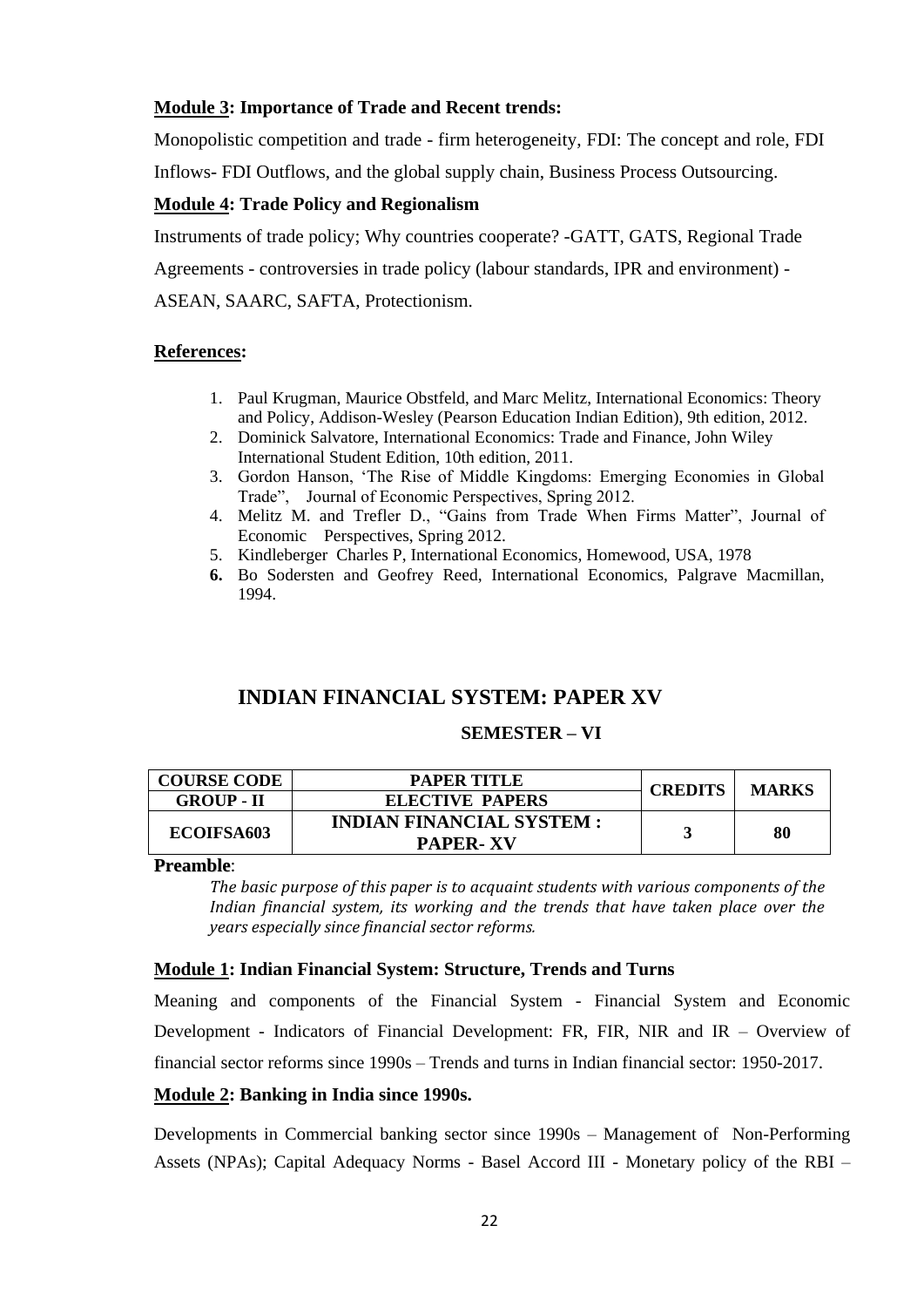### **Module 3: Importance of Trade and Recent trends:**

Monopolistic competition and trade - firm heterogeneity, FDI: The concept and role, FDI

Inflows- FDI Outflows, and the global supply chain, Business Process Outsourcing.

### **Module 4: Trade Policy and Regionalism**

Instruments of trade policy; Why countries cooperate? -GATT, GATS, Regional Trade

Agreements - controversies in trade policy (labour standards, IPR and environment) -

ASEAN, SAARC, SAFTA, Protectionism.

### **References:**

- 1. Paul Krugman, Maurice Obstfeld, and Marc Melitz, International Economics: Theory and Policy, Addison-Wesley (Pearson Education Indian Edition), 9th edition, 2012.
- 2. Dominick Salvatore, International Economics: Trade and Finance, John Wiley International Student Edition, 10th edition, 2011.
- 3. Gordon Hanson, "The Rise of Middle Kingdoms: Emerging Economies in Global Trade", Journal of Economic Perspectives, Spring 2012.
- 4. Melitz M. and Trefler D., "Gains from Trade When Firms Matter", Journal of Economic Perspectives, Spring 2012.
- 5. Kindleberger Charles P, International Economics, Homewood, USA, 1978
- **6.** Bo Sodersten and Geofrey Reed, International Economics, Palgrave Macmillan, 1994.

# **INDIAN FINANCIAL SYSTEM: PAPER XV**

### **SEMESTER – VI**

| <b>COURSE CODE</b>     | PAPER TITLE                     | <b>CREDITS</b> | <b>MARKS</b> |
|------------------------|---------------------------------|----------------|--------------|
| <b>GROUP - II</b>      | <b>ELECTIVE PAPERS</b>          |                |              |
| ECOIFSA <sub>603</sub> | <b>INDIAN FINANCIAL SYSTEM:</b> |                | 80           |
|                        | <b>PAPER-XV</b>                 |                |              |

**Preamble**:

*The basic purpose of this paper is to acquaint students with various components of the Indian financial system, its working and the trends that have taken place over the years especially since financial sector reforms.*

### **Module 1: Indian Financial System: Structure, Trends and Turns**

Meaning and components of the Financial System - Financial System and Economic Development - Indicators of Financial Development: FR, FIR, NIR and IR – Overview of financial sector reforms since 1990s – Trends and turns in Indian financial sector: 1950-2017.

### **Module 2: Banking in India since 1990s.**

Developments in Commercial banking sector since 1990s – Management of Non-Performing Assets (NPAs); Capital Adequacy Norms - Basel Accord III - Monetary policy of the RBI –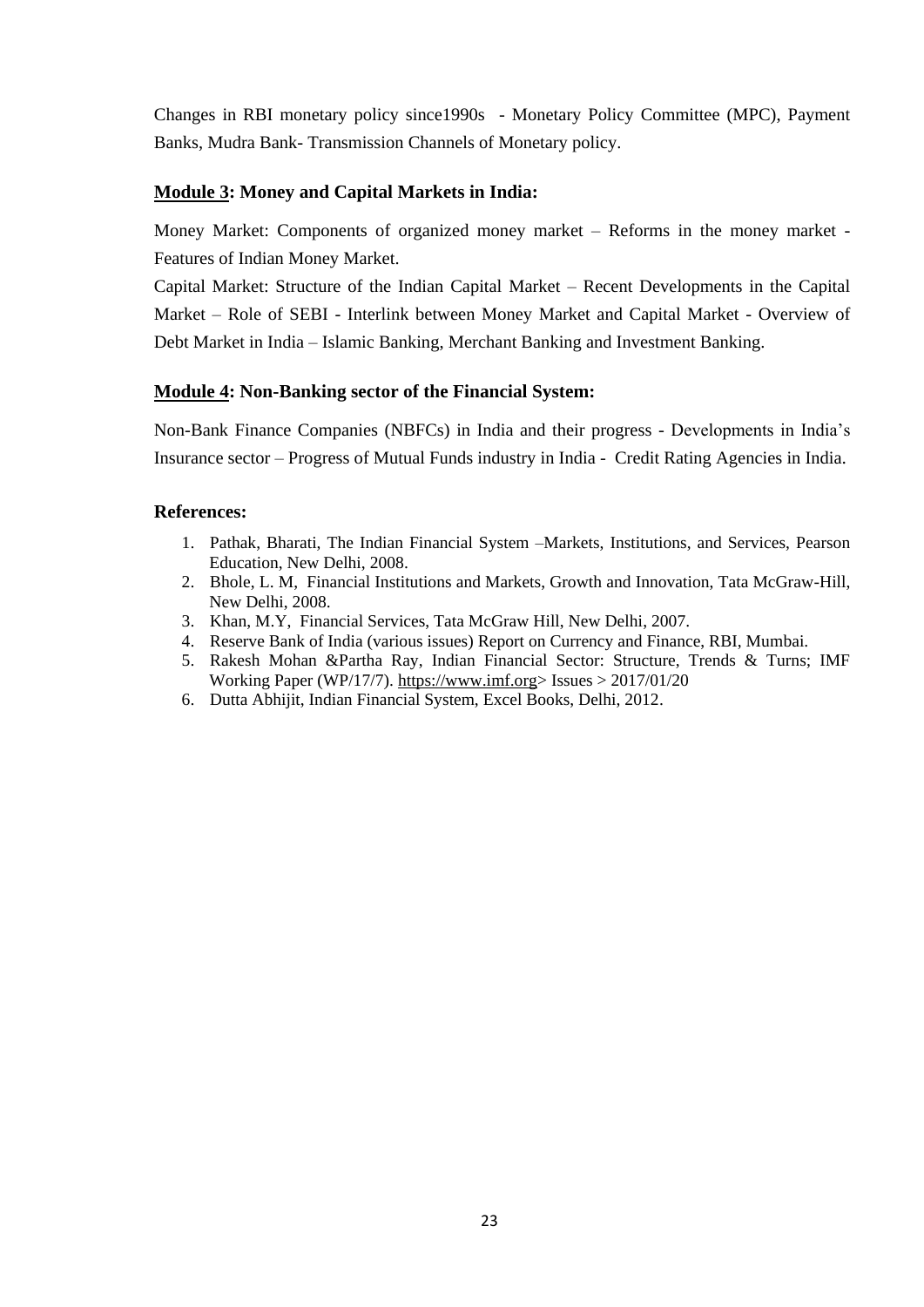Changes in RBI monetary policy since1990s - Monetary Policy Committee (MPC), Payment Banks, Mudra Bank- Transmission Channels of Monetary policy.

### **Module 3: Money and Capital Markets in India:**

Money Market: Components of organized money market – Reforms in the money market - Features of Indian Money Market.

Capital Market: Structure of the Indian Capital Market – Recent Developments in the Capital Market – Role of SEBI - Interlink between Money Market and Capital Market - Overview of Debt Market in India – Islamic Banking, Merchant Banking and Investment Banking.

### **Module 4: Non-Banking sector of the Financial System:**

Non-Bank Finance Companies (NBFCs) in India and their progress - Developments in India"s Insurance sector – Progress of Mutual Funds industry in India - Credit Rating Agencies in India.

- 1. Pathak, Bharati, The Indian Financial System –Markets, Institutions, and Services, Pearson Education, New Delhi, 2008.
- 2. Bhole, L. M, Financial Institutions and Markets, Growth and Innovation, Tata McGraw-Hill, New Delhi, 2008.
- 3. Khan, M.Y, Financial Services, Tata McGraw Hill, New Delhi, 2007.
- 4. Reserve Bank of India (various issues) Report on Currency and Finance, RBI, Mumbai.
- 5. Rakesh Mohan &Partha Ray, Indian Financial Sector: Structure, Trends & Turns; IMF Working Paper (WP/17/7). [https://www.imf.org>](https://www.imf.org/) Issues > 2017/01/20
- 6. Dutta Abhijit, Indian Financial System, Excel Books, Delhi, 2012.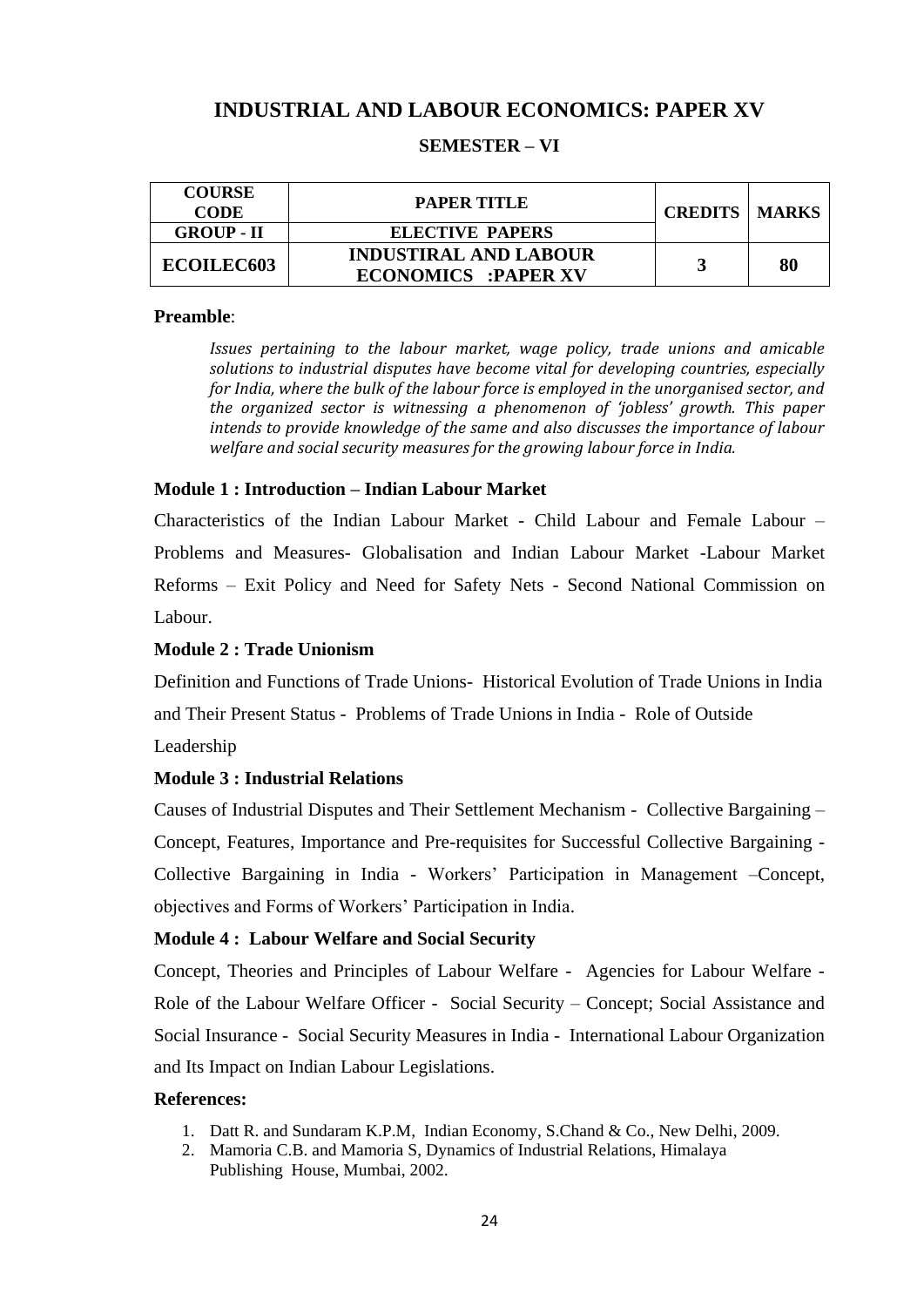# **INDUSTRIAL AND LABOUR ECONOMICS: PAPER XV**

### **SEMESTER – VI**

| <b>COURSE</b><br><b>CODE</b> | <b>PAPER TITLE</b>                                         | <b>CREDITS   MARKS</b> |    |
|------------------------------|------------------------------------------------------------|------------------------|----|
| <b>GROUP - II</b>            | <b>ELECTIVE PAPERS</b>                                     |                        |    |
| <b>ECOILEC603</b>            | <b>INDUSTIRAL AND LABOUR</b><br><b>ECONOMICS :PAPER XV</b> |                        | 80 |

#### **Preamble**:

*Issues pertaining to the labour market, wage policy, trade unions and amicable solutions to industrial disputes have become vital for developing countries, especially for India, where the bulk of the labour force is employed in the unorganised sector, and the organized sector is witnessing a phenomenon of 'jobless' growth. This paper intends to provide knowledge of the same and also discusses the importance of labour welfare and social security measures for the growing labour force in India.*

### **Module 1 : Introduction – Indian Labour Market**

Characteristics of the Indian Labour Market - Child Labour and Female Labour – Problems and Measures- Globalisation and Indian Labour Market -Labour Market Reforms – Exit Policy and Need for Safety Nets - Second National Commission on Labour.

### **Module 2 : Trade Unionism**

Definition and Functions of Trade Unions- Historical Evolution of Trade Unions in India and Their Present Status - Problems of Trade Unions in India - Role of Outside

Leadership

### **Module 3 : Industrial Relations**

Causes of Industrial Disputes and Their Settlement Mechanism - Collective Bargaining – Concept, Features, Importance and Pre-requisites for Successful Collective Bargaining - Collective Bargaining in India - Workers" Participation in Management –Concept, objectives and Forms of Workers" Participation in India.

#### **Module 4 : Labour Welfare and Social Security**

Concept, Theories and Principles of Labour Welfare - Agencies for Labour Welfare - Role of the Labour Welfare Officer - Social Security – Concept; Social Assistance and Social Insurance - Social Security Measures in India - International Labour Organization and Its Impact on Indian Labour Legislations.

- 1. Datt R. and Sundaram K.P.M, Indian Economy, S.Chand & Co., New Delhi, 2009.
- 2. Mamoria C.B. and Mamoria S, Dynamics of Industrial Relations, Himalaya Publishing House, Mumbai, 2002.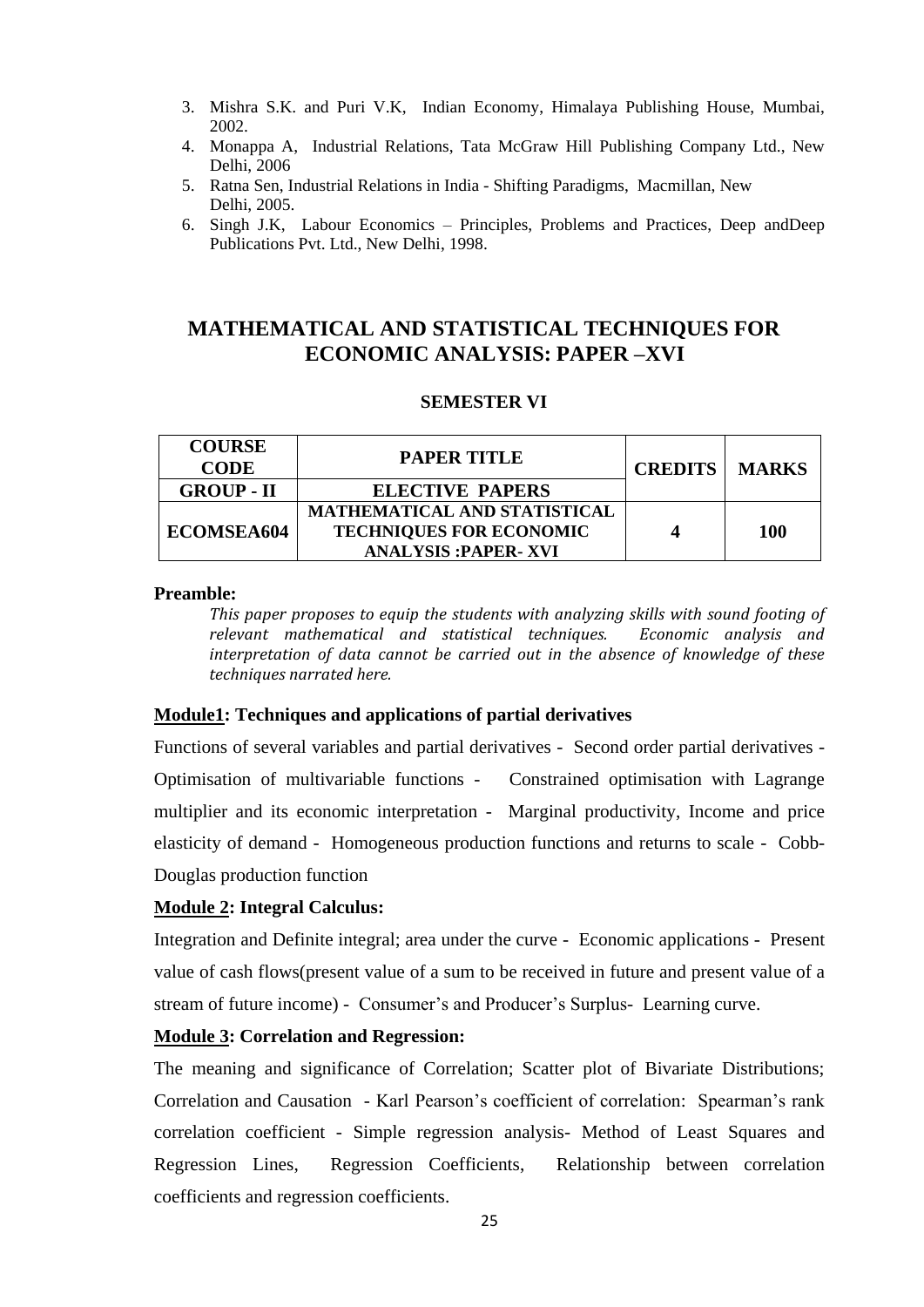- 3. Mishra S.K. and Puri V.K, Indian Economy, Himalaya Publishing House, Mumbai, 2002.
- 4. Monappa A, Industrial Relations, Tata McGraw Hill Publishing Company Ltd., New Delhi, 2006
- 5. Ratna Sen, Industrial Relations in India Shifting Paradigms, Macmillan, New Delhi, 2005.
- 6. Singh J.K, Labour Economics Principles, Problems and Practices, Deep andDeep Publications Pvt. Ltd., New Delhi, 1998.

# **MATHEMATICAL AND STATISTICAL TECHNIQUES FOR ECONOMIC ANALYSIS: PAPER –XVI**

### **SEMESTER VI**

| <b>COURSE</b><br><b>CODE</b> | <b>PAPER TITLE</b>                                                                            | <b>CREDITS</b> | <b>MARKS</b> |
|------------------------------|-----------------------------------------------------------------------------------------------|----------------|--------------|
| <b>GROUP - II</b>            | <b>ELECTIVE PAPERS</b>                                                                        |                |              |
| ECOMSEA604                   | MATHEMATICAL AND STATISTICAL<br><b>TECHNIQUES FOR ECONOMIC</b><br><b>ANALYSIS :PAPER- XVI</b> |                | 100          |

#### **Preamble:**

*This paper proposes to equip the students with analyzing skills with sound footing of relevant mathematical and statistical techniques. Economic analysis and interpretation of data cannot be carried out in the absence of knowledge of these techniques narrated here.* 

#### **Module1: Techniques and applications of partial derivatives**

Functions of several variables and partial derivatives - Second order partial derivatives - Optimisation of multivariable functions - Constrained optimisation with Lagrange multiplier and its economic interpretation - Marginal productivity, Income and price elasticity of demand - Homogeneous production functions and returns to scale - Cobb-Douglas production function

#### **Module 2: Integral Calculus:**

Integration and Definite integral; area under the curve - Economic applications - Present value of cash flows(present value of a sum to be received in future and present value of a stream of future income) - Consumer's and Producer's Surplus- Learning curve.

### **Module 3: Correlation and Regression:**

The meaning and significance of Correlation; Scatter plot of Bivariate Distributions; Correlation and Causation - Karl Pearson"s coefficient of correlation: Spearman"s rank correlation coefficient - Simple regression analysis- Method of Least Squares and Regression Lines, Regression Coefficients, Relationship between correlation coefficients and regression coefficients.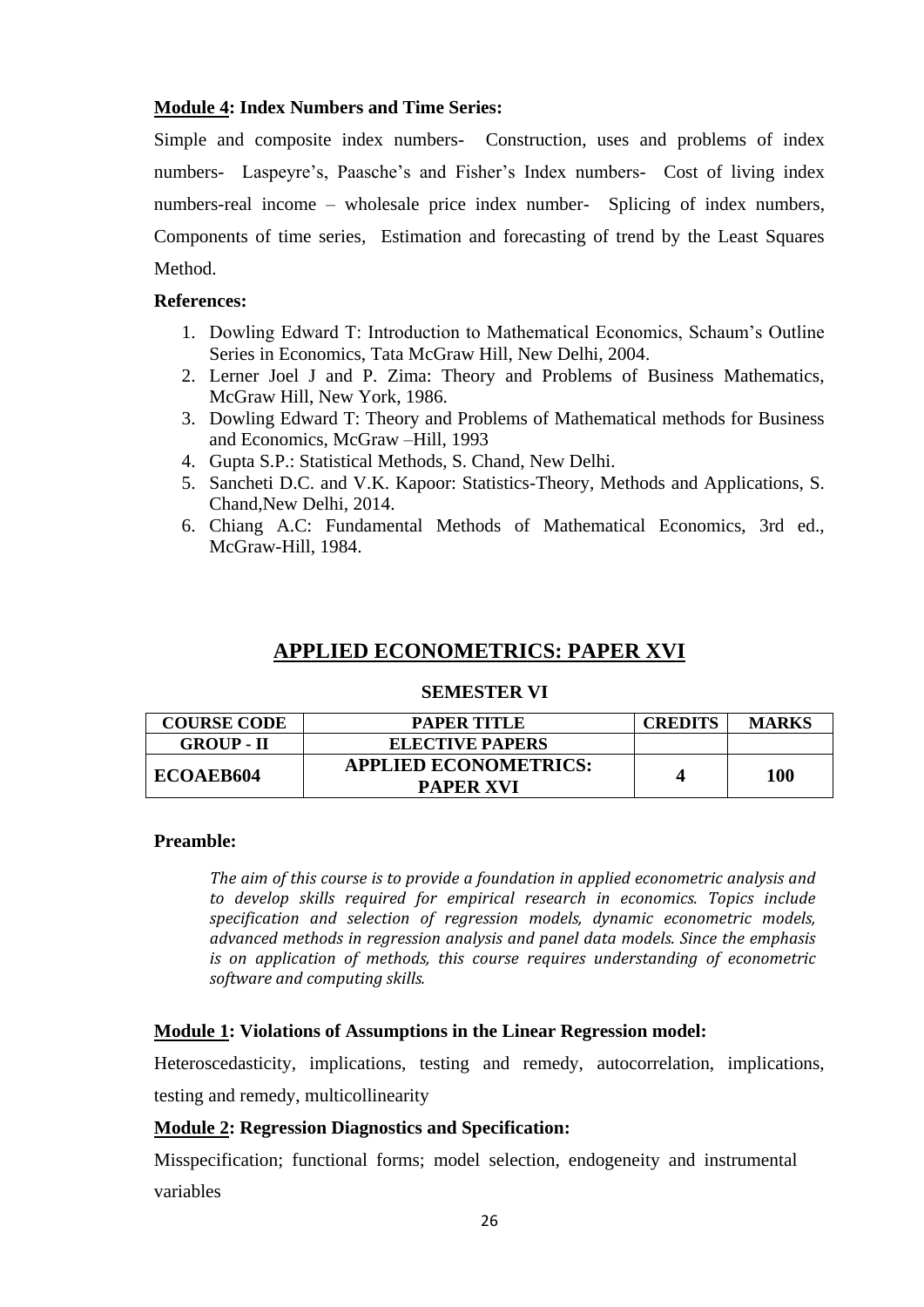### **Module 4: Index Numbers and Time Series:**

Simple and composite index numbers- Construction, uses and problems of index numbers- Laspeyre's, Paasche's and Fisher's Index numbers- Cost of living index numbers-real income – wholesale price index number- Splicing of index numbers, Components of time series, Estimation and forecasting of trend by the Least Squares Method.

### **References:**

- 1. Dowling Edward T: Introduction to Mathematical Economics, Schaum"s Outline Series in Economics, Tata McGraw Hill, New Delhi, 2004.
- 2. Lerner Joel J and P. Zima: Theory and Problems of Business Mathematics, McGraw Hill, New York, 1986.
- 3. Dowling Edward T: Theory and Problems of Mathematical methods for Business and Economics, McGraw –Hill, 1993
- 4. Gupta S.P.: Statistical Methods, S. Chand, New Delhi.
- 5. Sancheti D.C. and V.K. Kapoor: Statistics-Theory, Methods and Applications, S. Chand,New Delhi, 2014.
- 6. Chiang A.C: Fundamental Methods of Mathematical Economics, 3rd ed., McGraw-Hill, 1984.

# **APPLIED ECONOMETRICS: PAPER XVI**

#### **SEMESTER VI**

| <b>COURSE CODE</b> | PAPER TITLE                                      | <b>CREDITS</b> | <b>MARKS</b> |
|--------------------|--------------------------------------------------|----------------|--------------|
| <b>GROUP - II</b>  | <b>ELECTIVE PAPERS</b>                           |                |              |
| ECOAEB604          | <b>APPLIED ECONOMETRICS:</b><br><b>PAPER XVI</b> |                | 100          |

### **Preamble:**

*The aim of this course is to provide a foundation in applied econometric analysis and to develop skills required for empirical research in economics. Topics include specification and selection of regression models, dynamic econometric models, advanced methods in regression analysis and panel data models. Since the emphasis is on application of methods, this course requires understanding of econometric software and computing skills.*

### **Module 1: Violations of Assumptions in the Linear Regression model:**

Heteroscedasticity, implications, testing and remedy, autocorrelation, implications, testing and remedy, multicollinearity

### **Module 2: Regression Diagnostics and Specification:**

Misspecification; functional forms; model selection, endogeneity and instrumental variables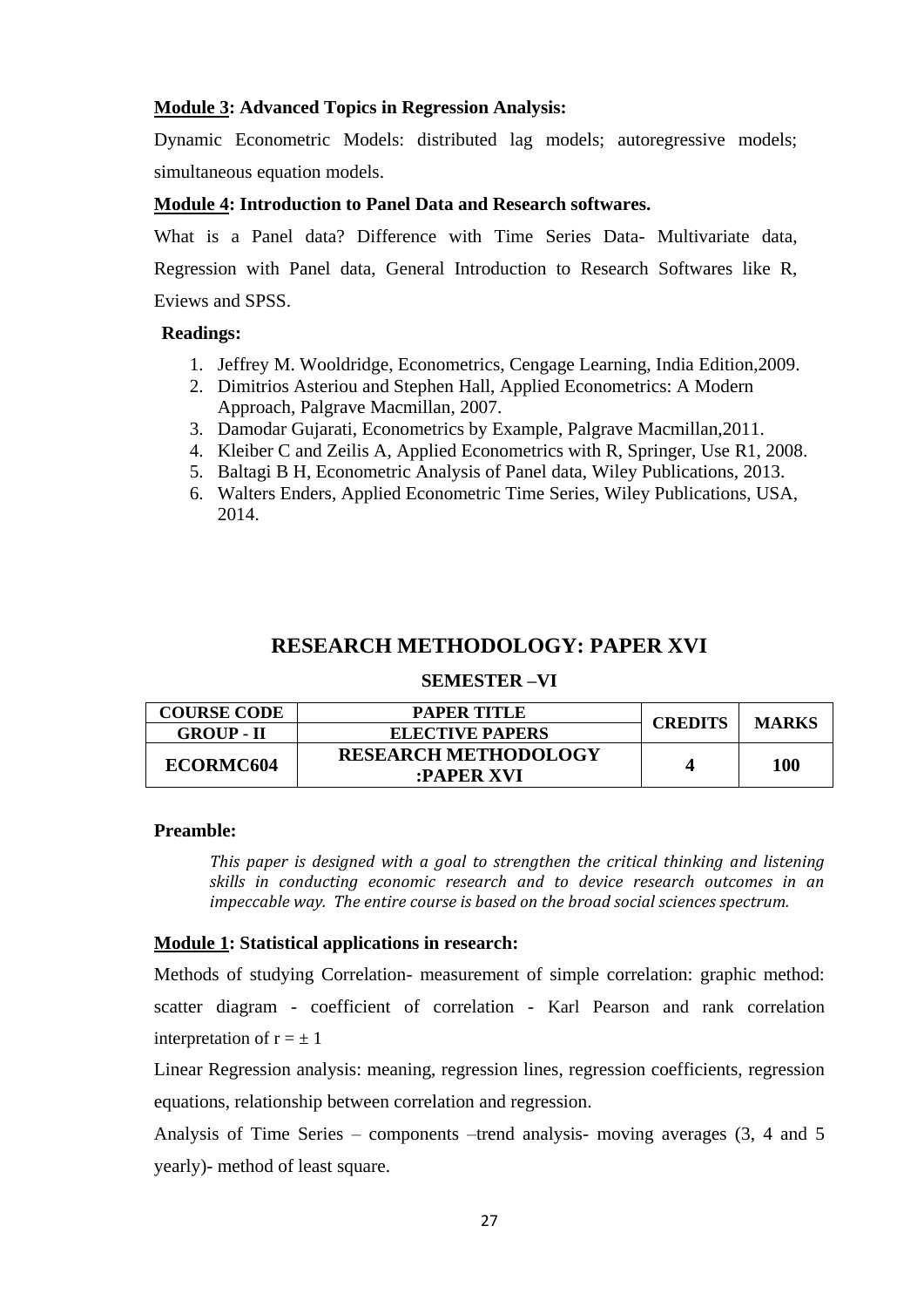### **Module 3: Advanced Topics in Regression Analysis:**

Dynamic Econometric Models: distributed lag models; autoregressive models; simultaneous equation models.

### **Module 4: Introduction to Panel Data and Research softwares.**

What is a Panel data? Difference with Time Series Data- Multivariate data, Regression with Panel data, General Introduction to Research Softwares like R, Eviews and SPSS.

### **Readings:**

- 1. Jeffrey M. Wooldridge, Econometrics, Cengage Learning, India Edition,2009.
- 2. Dimitrios Asteriou and Stephen Hall, Applied Econometrics: A Modern Approach, Palgrave Macmillan, 2007.
- 3. Damodar Gujarati, Econometrics by Example, Palgrave Macmillan,2011.
- 4. Kleiber C and Zeilis A, Applied Econometrics with R, Springer, Use R1, 2008.
- 5. Baltagi B H, Econometric Analysis of Panel data, Wiley Publications, 2013.
- 6. Walters Enders, Applied Econometric Time Series, Wiley Publications, USA, 2014.

# **RESEARCH METHODOLOGY: PAPER XVI**

#### **SEMESTER –VI**

| <b>COURSE CODE</b>    | PAPER TITLE                 | <b>CREDITS</b> | <b>MARKS</b> |
|-----------------------|-----------------------------|----------------|--------------|
| <b>GROUP - II</b>     | <b>ELECTIVE PAPERS</b>      |                |              |
| ECORMC <sub>604</sub> | <b>RESEARCH METHODOLOGY</b> |                | 100          |
|                       | :PAPER XVI                  |                |              |

### **Preamble:**

*This paper is designed with a goal to strengthen the critical thinking and listening skills in conducting economic research and to device research outcomes in an impeccable way. The entire course is based on the broad social sciences spectrum.*

### **Module 1: Statistical applications in research:**

Methods of studying Correlation- measurement of simple correlation: graphic method: scatter diagram - coefficient of correlation - Karl Pearson and rank correlation interpretation of  $r = \pm 1$ 

Linear Regression analysis: meaning, regression lines, regression coefficients, regression equations, relationship between correlation and regression.

Analysis of Time Series – components –trend analysis- moving averages (3, 4 and 5 yearly)- method of least square.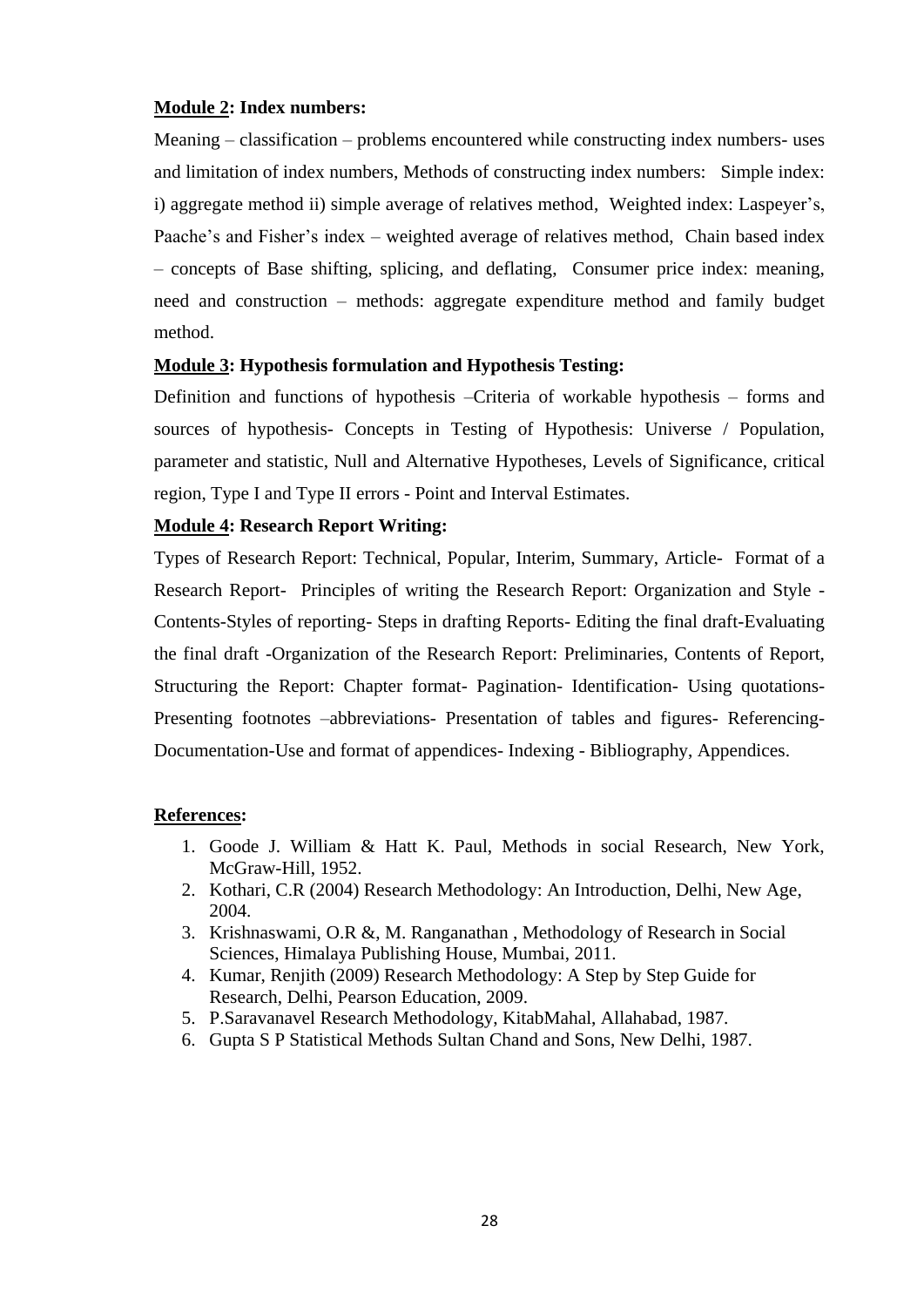### **Module 2: Index numbers:**

Meaning – classification – problems encountered while constructing index numbers- uses and limitation of index numbers, Methods of constructing index numbers: Simple index: i) aggregate method ii) simple average of relatives method, Weighted index: Laspeyer"s, Paache's and Fisher's index – weighted average of relatives method, Chain based index – concepts of Base shifting, splicing, and deflating, Consumer price index: meaning, need and construction – methods: aggregate expenditure method and family budget method.

### **Module 3: Hypothesis formulation and Hypothesis Testing:**

Definition and functions of hypothesis –Criteria of workable hypothesis – forms and sources of hypothesis- Concepts in Testing of Hypothesis: Universe / Population, parameter and statistic, Null and Alternative Hypotheses, Levels of Significance, critical region, Type I and Type II errors - Point and Interval Estimates.

### **Module 4: Research Report Writing:**

Types of Research Report: Technical, Popular, Interim, Summary, Article- Format of a Research Report- Principles of writing the Research Report: Organization and Style - Contents-Styles of reporting- Steps in drafting Reports- Editing the final draft-Evaluating the final draft -Organization of the Research Report: Preliminaries, Contents of Report, Structuring the Report: Chapter format- Pagination- Identification- Using quotations-Presenting footnotes –abbreviations- Presentation of tables and figures- Referencing-Documentation-Use and format of appendices- Indexing - Bibliography, Appendices.

- 1. Goode J. William & Hatt K. Paul, Methods in social Research, New York, McGraw-Hill, 1952.
- 2. Kothari, C.R (2004) Research Methodology: An Introduction, Delhi, New Age, 2004.
- 3. Krishnaswami, O.R &, M. Ranganathan , Methodology of Research in Social Sciences, Himalaya Publishing House, Mumbai, 2011.
- 4. Kumar, Renjith (2009) Research Methodology: A Step by Step Guide for Research, Delhi, Pearson Education, 2009.
- 5. P.Saravanavel Research Methodology, KitabMahal, Allahabad, 1987.
- 6. Gupta S P Statistical Methods Sultan Chand and Sons, New Delhi, 1987.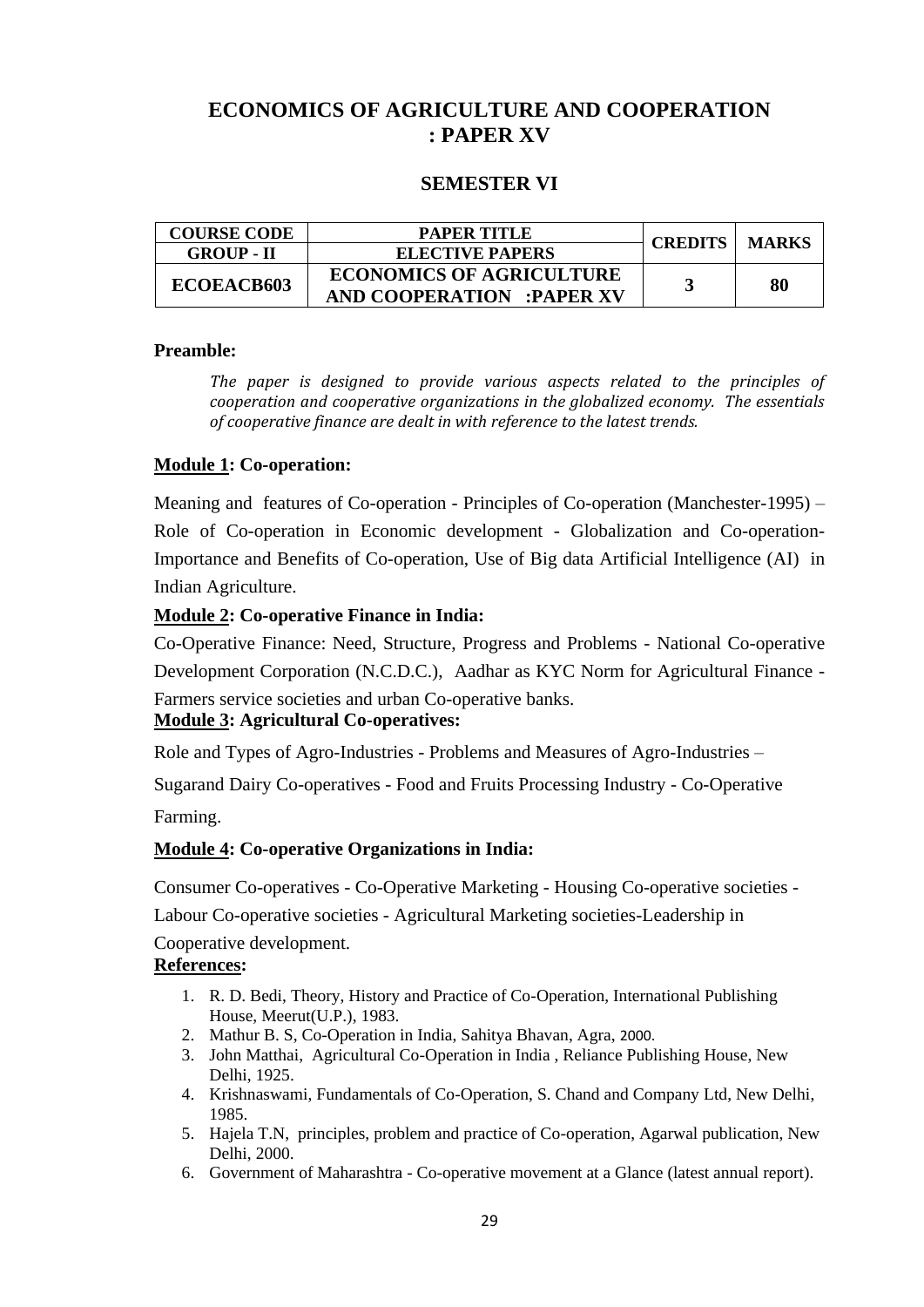# **ECONOMICS OF AGRICULTURE AND COOPERATION : PAPER XV**

### **SEMESTER VI**

| <b>COURSE CODE</b> | PAPER TITLE                                                         | <b>CREDITS   MARKS</b> |    |
|--------------------|---------------------------------------------------------------------|------------------------|----|
| <b>GROUP - II</b>  | <b>ELECTIVE PAPERS</b>                                              |                        |    |
| ECOEACB603         | <b>ECONOMICS OF AGRICULTURE</b><br><b>AND COOPERATION :PAPER XV</b> |                        | 80 |

### **Preamble:**

*The paper is designed to provide various aspects related to the principles of cooperation and cooperative organizations in the globalized economy. The essentials of cooperative finance are dealt in with reference to the latest trends.*

### **Module 1: Co-operation:**

Meaning and features of Co-operation - Principles of Co-operation (Manchester-1995) – Role of Co-operation in Economic development - Globalization and Co-operation-Importance and Benefits of Co-operation, Use of Big data Artificial Intelligence (AI) in Indian Agriculture.

### **Module 2: Co-operative Finance in India:**

Co-Operative Finance: Need, Structure, Progress and Problems - National Co-operative Development Corporation (N.C.D.C.), Aadhar as KYC Norm for Agricultural Finance - Farmers service societies and urban Co-operative banks.

### **Module 3: Agricultural Co-operatives:**

Role and Types of Agro-Industries - Problems and Measures of Agro-Industries –

Sugarand Dairy Co-operatives - Food and Fruits Processing Industry - Co-Operative

Farming.

### **Module 4: Co-operative Organizations in India:**

Consumer Co-operatives - Co-Operative Marketing - Housing Co-operative societies -

Labour Co-operative societies - Agricultural Marketing societies-Leadership in

Cooperative development.

- 1. R. D. Bedi, Theory, History and Practice of Co-Operation, International Publishing House, Meerut(U.P.), 1983.
- 2. Mathur B. S, Co-Operation in India, Sahitya Bhavan, Agra, 2000.
- 3. John Matthai, Agricultural Co-Operation in India , Reliance Publishing House, New Delhi, 1925.
- 4. Krishnaswami, Fundamentals of Co-Operation, S. Chand and Company Ltd, New Delhi, 1985.
- 5. Hajela T.N, principles, problem and practice of Co-operation, Agarwal publication, New Delhi, 2000.
- 6. Government of Maharashtra Co-operative movement at a Glance (latest annual report).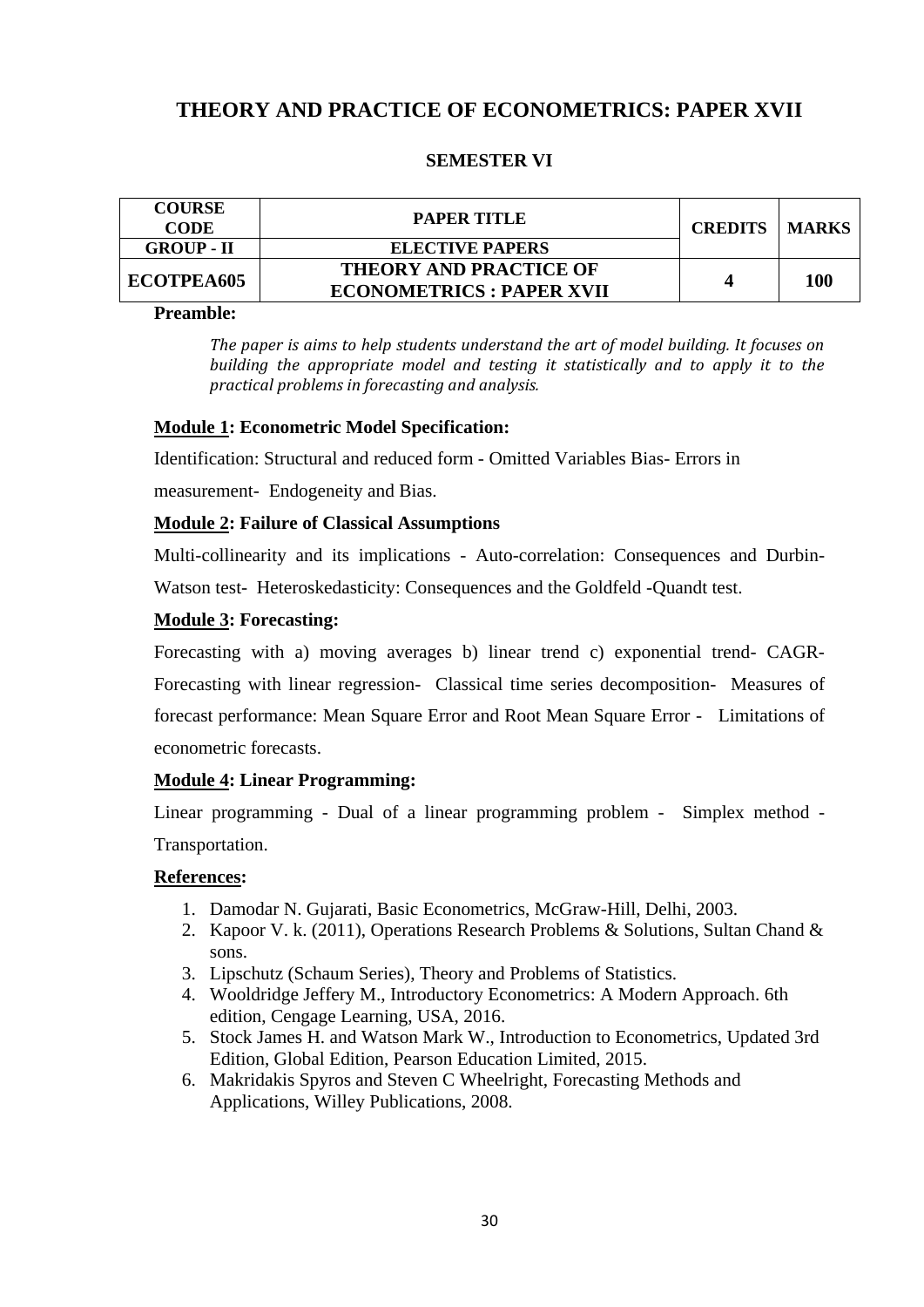# **THEORY AND PRACTICE OF ECONOMETRICS: PAPER XVII**

## **SEMESTER VI**

| <b>COURSE</b><br><b>CODE</b> | <b>PAPER TITLE</b>                                               | <b>CREDITS   MARKS</b> |     |
|------------------------------|------------------------------------------------------------------|------------------------|-----|
| <b>GROUP - II</b>            | ELECTIVE PAPERS                                                  |                        |     |
| ECOTPEA605                   | <b>THEORY AND PRACTICE OF</b><br><b>ECONOMETRICS: PAPER XVII</b> |                        | 100 |

### **Preamble:**

*The paper is aims to help students understand the art of model building. It focuses on building the appropriate model and testing it statistically and to apply it to the practical problems in forecasting and analysis.* 

### **Module 1: Econometric Model Specification:**

Identification: Structural and reduced form - Omitted Variables Bias- Errors in

measurement- Endogeneity and Bias.

### **Module 2: Failure of Classical Assumptions**

Multi-collinearity and its implications - Auto-correlation: Consequences and Durbin-

Watson test- Heteroskedasticity: Consequences and the Goldfeld -Quandt test.

### **Module 3: Forecasting:**

Forecasting with a) moving averages b) linear trend c) exponential trend- CAGR-

Forecasting with linear regression- Classical time series decomposition- Measures of forecast performance: Mean Square Error and Root Mean Square Error - Limitations of econometric forecasts.

## **Module 4: Linear Programming:**

Linear programming - Dual of a linear programming problem - Simplex method - Transportation.

- 1. Damodar N. Gujarati, Basic Econometrics, McGraw-Hill, Delhi, 2003.
- 2. Kapoor V. k. (2011), Operations Research Problems & Solutions, Sultan Chand & sons.
- 3. Lipschutz (Schaum Series), Theory and Problems of Statistics.
- 4. Wooldridge Jeffery M., Introductory Econometrics: A Modern Approach. 6th edition, Cengage Learning, USA, 2016.
- 5. Stock James H. and Watson Mark W., Introduction to Econometrics, Updated 3rd Edition, Global Edition, Pearson Education Limited, 2015.
- 6. Makridakis Spyros and Steven C Wheelright, Forecasting Methods and Applications, Willey Publications, 2008.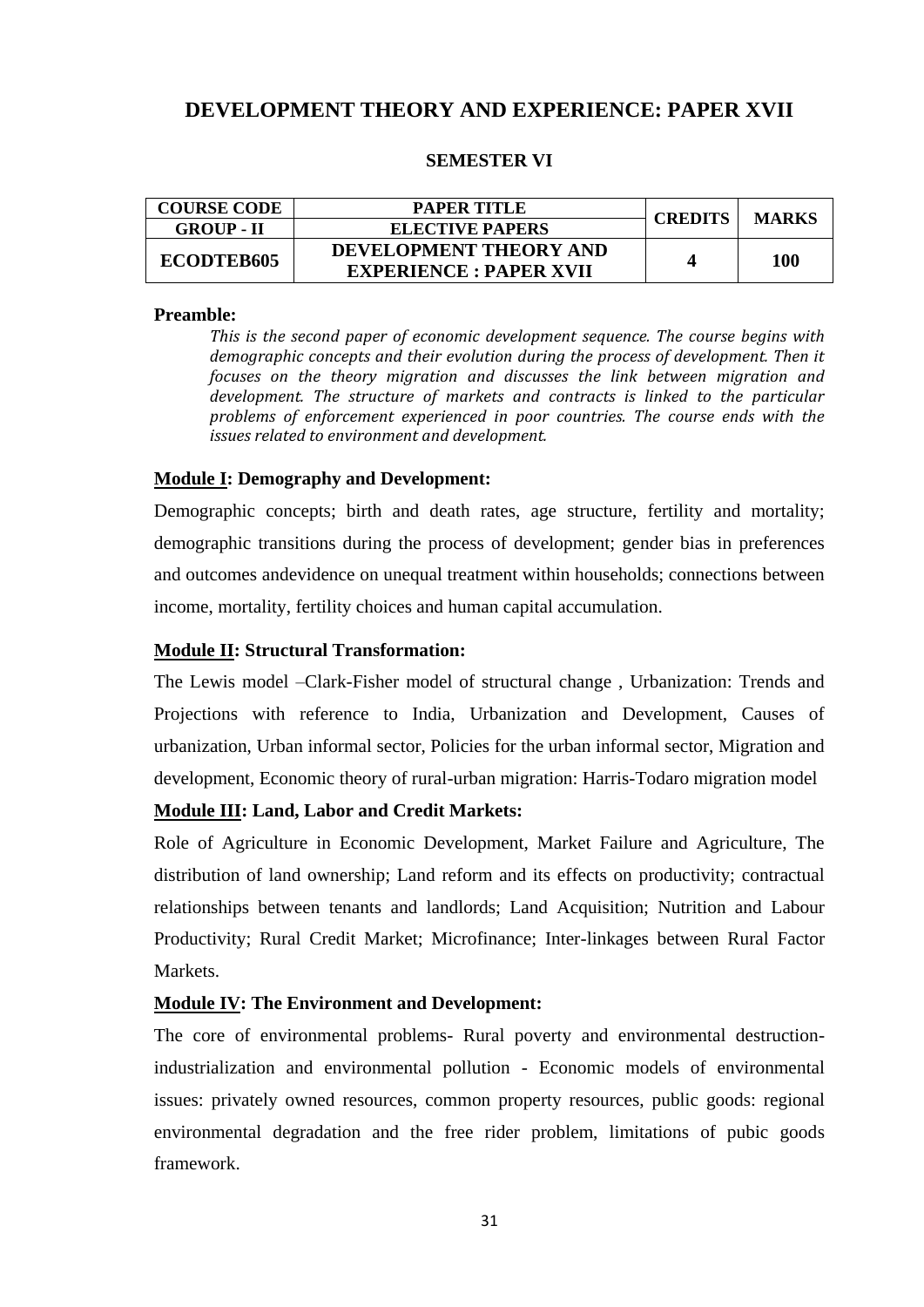# **DEVELOPMENT THEORY AND EXPERIENCE: PAPER XVII**

### **SEMESTER VI**

| <b>COURSE CODE</b> | PAPER TITLE                   | <b>CREDITS</b> | <b>MARKS</b> |
|--------------------|-------------------------------|----------------|--------------|
| <b>GROUP - II</b>  | <b>ELECTIVE PAPERS</b>        |                |              |
| <b>ECODTEB605</b>  | DEVELOPMENT THEORY AND        |                | 100          |
|                    | <b>EXPERIENCE: PAPER XVII</b> |                |              |

#### **Preamble:**

*This is the second paper of economic development sequence. The course begins with demographic concepts and their evolution during the process of development. Then it focuses on the theory migration and discusses the link between migration and development. The structure of markets and contracts is linked to the particular problems of enforcement experienced in poor countries. The course ends with the issues related to environment and development.* 

### **Module I: Demography and Development:**

Demographic concepts; birth and death rates, age structure, fertility and mortality; demographic transitions during the process of development; gender bias in preferences and outcomes andevidence on unequal treatment within households; connections between income, mortality, fertility choices and human capital accumulation.

### **Module II: Structural Transformation:**

The Lewis model –Clark-Fisher model of structural change , Urbanization: Trends and Projections with reference to India, Urbanization and Development, Causes of urbanization, Urban informal sector, Policies for the urban informal sector, Migration and development, Economic theory of rural-urban migration: Harris-Todaro migration model

#### **Module III: Land, Labor and Credit Markets:**

Role of Agriculture in Economic Development, Market Failure and Agriculture, The distribution of land ownership; Land reform and its effects on productivity; contractual relationships between tenants and landlords; Land Acquisition; Nutrition and Labour Productivity; Rural Credit Market; Microfinance; Inter-linkages between Rural Factor Markets.

#### **Module IV: The Environment and Development:**

The core of environmental problems- Rural poverty and environmental destructionindustrialization and environmental pollution - Economic models of environmental issues: privately owned resources, common property resources, public goods: regional environmental degradation and the free rider problem, limitations of pubic goods framework.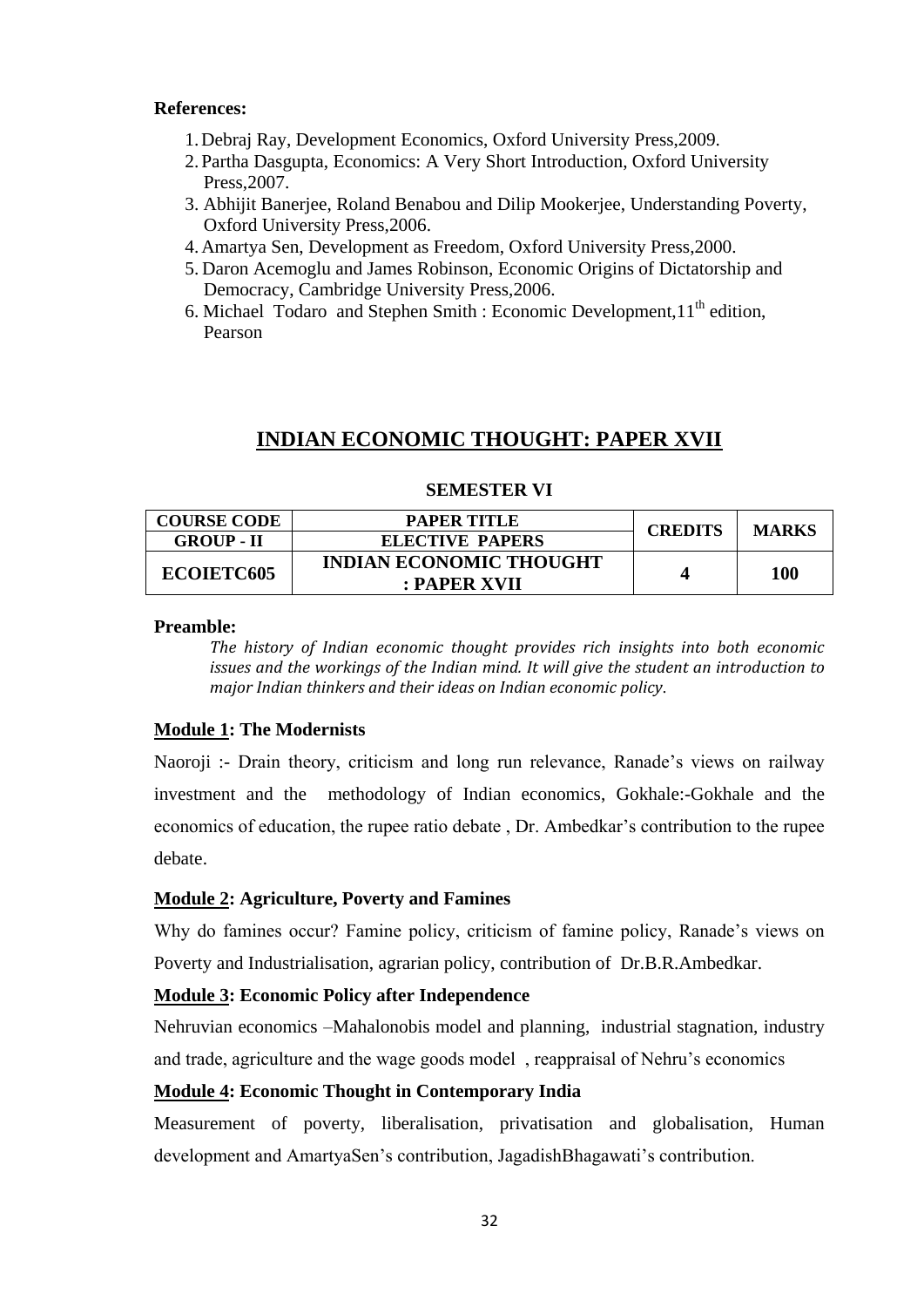### **References:**

- 1.Debraj Ray, Development Economics, Oxford University Press,2009.
- 2.Partha Dasgupta, Economics: A Very Short Introduction, Oxford University Press,2007.
- 3. Abhijit Banerjee, Roland Benabou and Dilip Mookerjee, Understanding Poverty, Oxford University Press,2006.
- 4.Amartya Sen, Development as Freedom, Oxford University Press,2000.
- 5. Daron Acemoglu and James Robinson, Economic Origins of Dictatorship and Democracy, Cambridge University Press,2006.
- 6. Michael Todaro and Stephen Smith : Economic Development,  $11<sup>th</sup>$  edition, Pearson

# **INDIAN ECONOMIC THOUGHT: PAPER XVII**

| <b>COURSE CODE</b> | PAPER TITLE                    | <b>CREDITS</b> | <b>MARKS</b> |
|--------------------|--------------------------------|----------------|--------------|
| <b>GROUP - II</b>  | <b>ELECTIVE PAPERS</b>         |                |              |
| <b>ECOIETC605</b>  | <b>INDIAN ECONOMIC THOUGHT</b> |                | 100          |
|                    | : PAPER XVII                   |                |              |

### **SEMESTER VI**

#### **Preamble:**

*The history of Indian economic thought provides rich insights into both economic issues and the workings of the Indian mind. It will give the student an introduction to major Indian thinkers and their ideas on Indian economic policy.* 

### **Module 1: The Modernists**

Naoroji :- Drain theory, criticism and long run relevance, Ranade"s views on railway investment and the methodology of Indian economics, Gokhale:-Gokhale and the economics of education, the rupee ratio debate , Dr. Ambedkar"s contribution to the rupee debate.

### **Module 2: Agriculture, Poverty and Famines**

Why do famines occur? Famine policy, criticism of famine policy, Ranade's views on Poverty and Industrialisation, agrarian policy, contribution of Dr.B.R.Ambedkar.

### **Module 3: Economic Policy after Independence**

Nehruvian economics –Mahalonobis model and planning, industrial stagnation, industry and trade, agriculture and the wage goods model , reappraisal of Nehru"s economics

### **Module 4: Economic Thought in Contemporary India**

Measurement of poverty, liberalisation, privatisation and globalisation, Human development and AmartyaSen's contribution, JagadishBhagawati's contribution.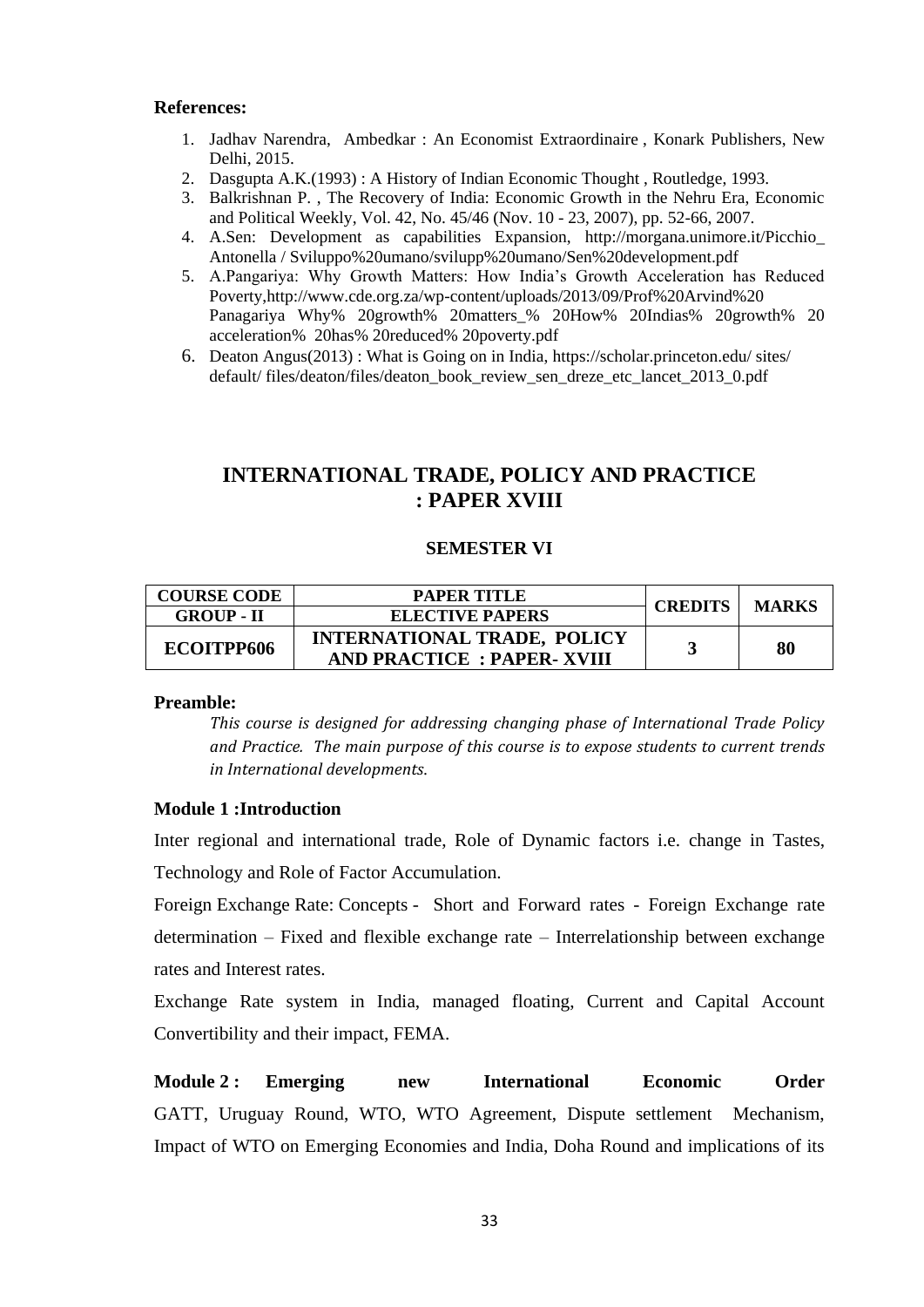### **References:**

- 1. Jadhav Narendra, Ambedkar : An Economist Extraordinaire , Konark Publishers, New Delhi, 2015.
- 2. Dasgupta A.K.(1993) : A History of Indian Economic Thought , Routledge, 1993.
- 3. Balkrishnan P. , The Recovery of India: Economic Growth in the Nehru Era, Economic and Political Weekly, Vol. 42, No. 45/46 (Nov. 10 - 23, 2007), pp. 52-66, 2007.
- 4. A.Sen: Development as capabilities Expansion, [http://morgana.unimore.it/Picchio\\_](http://morgana.unimore.it/Picchio_%20Antonella%20/%20Sviluppo%20umano/svilupp%20umano/Sen%20development.pdf)  [Antonella / Sviluppo%20umano/svilupp%20umano/Sen%20development.pdf](http://morgana.unimore.it/Picchio_%20Antonella%20/%20Sviluppo%20umano/svilupp%20umano/Sen%20development.pdf)
- 5. A.Pangariya: Why Growth Matters: How India"s Growth Acceleration has Reduced Poverty[,http://www.cde.org.za/wp-content/uploads/2013/09/Prof%20Arvind%20](http://www.cde.org.za/wp-content/uploads/2013/09/Prof%20Arvind%20%20Panagariya%20Why%25%2020growth%25%2020matters_%25%2020How%25%2020Indias%25%2020growth%25%2020%20acceleration%25%20%2020has%25%2020reduced%25%2020poverty.pdf)  [Panagariya Why% 20growth% 20matters\\_% 20How% 20Indias% 20growth% 20](http://www.cde.org.za/wp-content/uploads/2013/09/Prof%20Arvind%20%20Panagariya%20Why%25%2020growth%25%2020matters_%25%2020How%25%2020Indias%25%2020growth%25%2020%20acceleration%25%20%2020has%25%2020reduced%25%2020poverty.pdf)  [acceleration% 20has% 20reduced% 20poverty.pdf](http://www.cde.org.za/wp-content/uploads/2013/09/Prof%20Arvind%20%20Panagariya%20Why%25%2020growth%25%2020matters_%25%2020How%25%2020Indias%25%2020growth%25%2020%20acceleration%25%20%2020has%25%2020reduced%25%2020poverty.pdf)
- 6. Deaton Angus(2013) : What is Going on in India, [https://scholar.princeton.edu/ sites/](https://scholar.princeton.edu/%20sites/%20default/%20files/deaton/files/deaton_book_review_sen_dreze_etc_lancet_2013_0.pdf)  [default/ files/deaton/files/deaton\\_book\\_review\\_sen\\_dreze\\_etc\\_lancet\\_2013\\_0.pdf](https://scholar.princeton.edu/%20sites/%20default/%20files/deaton/files/deaton_book_review_sen_dreze_etc_lancet_2013_0.pdf)

# **INTERNATIONAL TRADE, POLICY AND PRACTICE : PAPER XVIII**

### **SEMESTER VI**

| <b>COURSE CODE</b> | <b>PAPER TITLE</b>                 | <b>CREDITS</b> | <b>MARKS</b> |
|--------------------|------------------------------------|----------------|--------------|
| <b>GROUP - II</b>  | <b>ELECTIVE PAPERS</b>             |                |              |
| ECOITPP606         | <b>INTERNATIONAL TRADE, POLICY</b> |                | 80           |
|                    | <b>AND PRACTICE: PAPER-XVIII</b>   |                |              |

#### **Preamble:**

*This course is designed for addressing changing phase of International Trade Policy and Practice. The main purpose of this course is to expose students to current trends in International developments.*

### **Module 1 :Introduction**

Inter regional and international trade, Role of Dynamic factors i.e. change in Tastes, Technology and Role of Factor Accumulation.

Foreign Exchange Rate: Concepts - Short and Forward rates - Foreign Exchange rate determination – Fixed and flexible exchange rate – Interrelationship between exchange rates and Interest rates.

Exchange Rate system in India, managed floating, Current and Capital Account Convertibility and their impact, FEMA.

**Module 2 : Emerging new International Economic Order** GATT, Uruguay Round, WTO, WTO Agreement, Dispute settlement Mechanism, Impact of WTO on Emerging Economies and India, Doha Round and implications of its